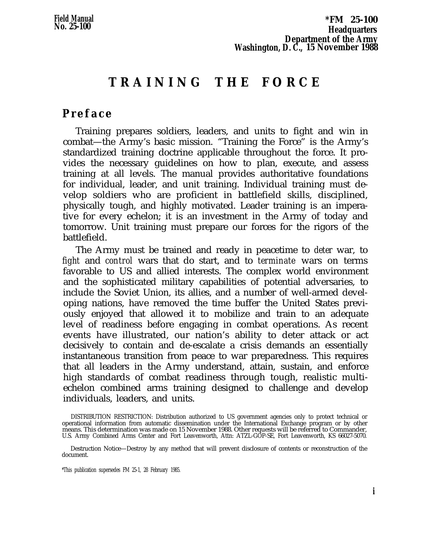# **TRAINING THE FORC E**

# <span id="page-0-0"></span>**Prefac e**

Training prepares soldiers, leaders, and units to fight and win in combat—the Army's basic mission. "Training the Force" is the Army's standardized training doctrine applicable throughout the force. It provides the necessary guidelines on how to plan, execute, and assess training at all levels. The manual provides authoritative foundations for individual, leader, and unit training. Individual training must develop soldiers who are proficient in battlefield skills, disciplined, physically tough, and highly motivated. Leader training is an imperative for every echelon; it is an investment in the Army of today and tomorrow. Unit training must prepare our forces for the rigors of the battlefield.

The Army must be trained and ready in peacetime to *deter* war, to *fight* and *control* wars that do start, and to *terminate* wars on terms favorable to US and allied interests. The complex world environment and the sophisticated military capabilities of potential adversaries, to include the Soviet Union, its allies, and a number of well-armed developing nations, have removed the time buffer the United States previously enjoyed that allowed it to mobilize and train to an adequate level of readiness before engaging in combat operations. As recent events have illustrated, our nation's ability to deter attack or act decisively to contain and de-escalate a crisis demands an essentially instantaneous transition from peace to war preparedness. This requires that all leaders in the Army understand, attain, sustain, and enforce high standards of combat readiness through tough, realistic multiechelon combined arms training designed to challenge and develop individuals, leaders, and units.

\*This publication supersedes FM 25-1, 28 February 1985.

DISTRIBUTION RESTRICTION: Distribution authorized to US government agencies only to protect technical or operational information from automatic dissemination under the International Exchange program or by other means. This determination was made on 15 November 1988. Other requests will be referred to Commander, U.S. Army Combined Arms Center and Fort Leavenworth, Attn: ATZL-GOP-SE, Fort Leavenworth, KS 66027-5070.

Destruction Notice—Destroy by any method that will prevent disclosure of contents or reconstruction of the document.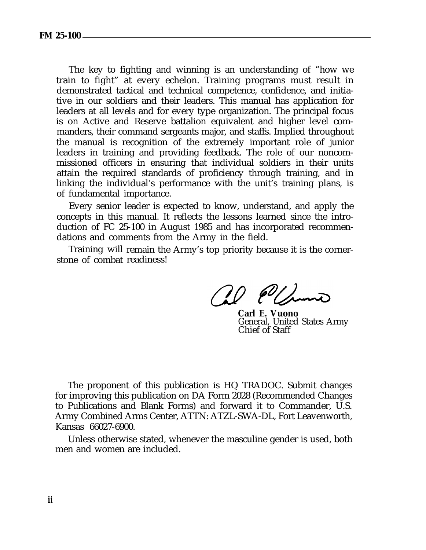The key to fighting and winning is an understanding of "how we train to fight" at every echelon. Training programs must result in demonstrated tactical and technical competence, confidence, and initiative in our soldiers and their leaders. This manual has application for leaders at all levels and for every type organization. The principal focus is on Active and Reserve battalion equivalent and higher level commanders, their command sergeants major, and staffs. Implied throughout the manual is recognition of the extremely important role of junior leaders in training and providing feedback. The role of our noncommissioned officers in ensuring that individual soldiers in their units attain the required standards of proficiency through training, and in linking the individual's performance with the unit's training plans, is of fundamental importance.

Every senior leader is expected to know, understand, and apply the concepts in this manual. It reflects the lessons learned since the introduction of FC 25-100 in August 1985 and has incorporated recommendations and comments from the Army in the field.

Training will remain the Army's top priority because it is the cornerstone of combat readiness!

 $0$  (eV)

**Carl E. Vuono** General, United States Army Chief of Staff

The proponent of this publication is HQ TRADOC. Submit changes for improving this publication on DA Form 2028 (Recommended Changes to Publications and Blank Forms) and forward it to Commander, U.S. Army Combined Arms Center, ATTN: ATZL-SWA-DL, Fort Leavenworth, Kansas 66027-6900.

Unless otherwise stated, whenever the masculine gender is used, both men and women are included.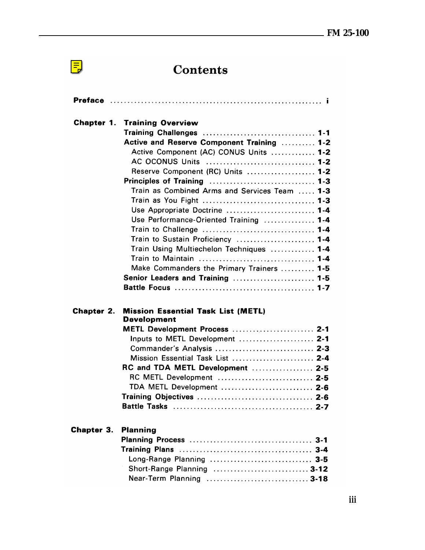# Contents

 $\left| \frac{1}{2} \right|$ 

|            | <b>Chapter 1. Training Overview</b><br>Active and Reserve Component Training  1-2<br>Active Component (AC) CONUS Units  1-2<br>AC OCONUS Units  1-2<br>Reserve Component (RC) Units  1-2<br>Train as Combined Arms and Services Team  1-3<br>Use Appropriate Doctrine  1-4<br>Use Performance-Oriented Training  1-4<br>Train to Sustain Proficiency  1-4<br>Train Using Multiechelon Techniques  1-4<br>Make Commanders the Primary Trainers  1-5<br>Senior Leaders and Training  1-5 |  |
|------------|----------------------------------------------------------------------------------------------------------------------------------------------------------------------------------------------------------------------------------------------------------------------------------------------------------------------------------------------------------------------------------------------------------------------------------------------------------------------------------------|--|
| Chapter 2. | <b>Mission Essential Task List (METL)</b><br><b>Development</b><br>METL Development Process  2-1<br>Inputs to METL Development  2-1<br>Commander's Analysis  2-3<br>Mission Essential Task List  2-4<br>RC and TDA METL Development  2-5<br>RC METL Development  2-5<br>TDA METL Development  2-6                                                                                                                                                                                      |  |
| Chapter 3. | <b>Planning</b><br>Long-Range Planning  3-5<br>Short-Range Planning  3-12<br>Near-Term Planning  3-18                                                                                                                                                                                                                                                                                                                                                                                  |  |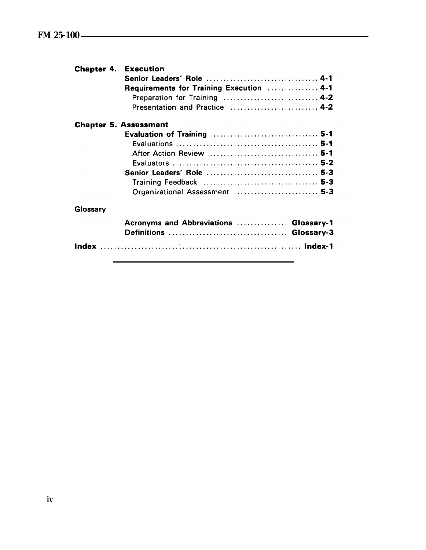|          | <b>Chapter 4. Execution</b>              |
|----------|------------------------------------------|
|          | Senior Leaders' Role  4-1                |
|          | Requirements for Training Execution  4-1 |
|          | Preparation for Training  4-2            |
|          | Presentation and Practice  4-2           |
|          | <b>Chapter 5. Assessment</b>             |
|          |                                          |
|          |                                          |
|          | After-Action Review  5-1                 |
|          |                                          |
|          | Senior Leaders' Role  5-3                |
|          |                                          |
|          | Organizational Assessment  5-3           |
| Glossary |                                          |
|          |                                          |
|          | Definitions  Glossary-3                  |
|          |                                          |
|          | Acronyms and Abbreviations  Glossary-1   |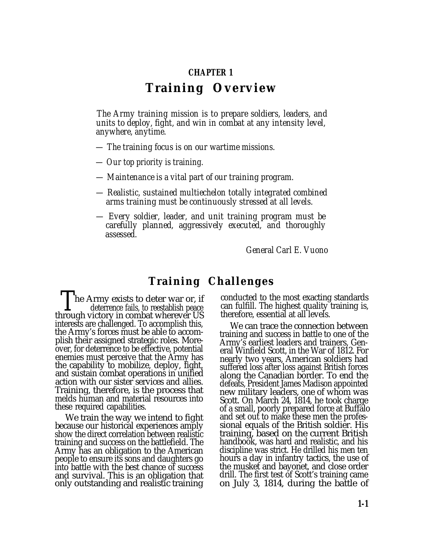#### **CHAPTER 1**

# **Training Overview**

*The Army training mission is to prepare soldiers, leaders, and units to deploy, fight, and win in combat at any intensity level, anywhere, anytime.*

- *The training focus is on our wartime missions.*
- *Our top priority is training.*
- *Maintenance is a vital part of our training program.*
- *Realistic, sustained multiechelon totally integrated combined arms training must be continuously stressed at all levels.*
- *Every soldier, leader, and unit training program must be carefully planned, aggressively executed, and thoroughly assessed.*

*General Carl E. Vuono*

## **Training Challenges**

The Army exists to deter war or, if deterrence fails, to reestablish peace through victory in combat wherever US interests are challenged. To accomplish this, the Army's forces must be able to accomplish their assigned strategic roles. Moreover, for deterrence to be effective, potential enemies must perceive that the Army has the capability to mobilize, deploy, fight, and sustain combat operations in unified action with our sister services and allies. Training, therefore, is the process that melds human and material resources into these required capabilities.

We train the way we intend to fight because our historical experiences amply show the direct correlation between realistic training and success on the battlefield. The Army has an obligation to the American people to ensure its sons and daughters go into battle with the best chance of success and survival. This is an obligation that only outstanding and realistic training conducted to the most exacting standards can fulfill. The highest quality training is, therefore, essential at all levels.

We can trace the connection between training and success in battle to one of the Army's earliest leaders and trainers, General Winfield Scott, in the War of 1812. For nearly two years, American soldiers had suffered loss after loss against British forces along the Canadian border. To end the defeats, President James Madison appointed new military leaders, one of whom was Scott. On March 24, 1814, he took charge of a small, poorly prepared force at Buffalo and set out to make these men the professional equals of the British soldier. His training, based on the current British handbook, was hard and realistic, and his discipline was strict. He drilled his men ten hours a day in infantry tactics, the use of the musket and bayonet, and close order drill. The first test of Scott's training came on July 3, 1814, during the battle of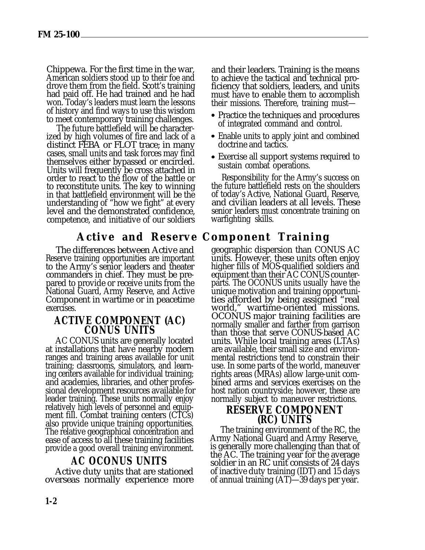Chippewa. For the first time in the war, American soldiers stood up to their foe and drove them from the field. Scott's training had paid off. He had trained and he had won. Today's leaders must learn the lessons of history and find ways to use this wisdom to meet contemporary training challenges.

The future battlefield will be characterized by high volumes of fire and lack of a distinct FEBA or FLOT trace; in many cases, small units and task forces may find themselves either bypassed or encircled. Units will frequently be cross attached in order to react to the flow of the battle or to reconstitute units. The key to winning in that battlefield environment will be the understanding of "how we fight" at every level and the demonstrated confidence, competence, and initiative of our soldiers

# **Active and Reserve Component Training**

The differences between Active and Reserve training opportunities are important to the Army's senior leaders and theater commanders in chief. They must be prepared to provide or receive units from the National Guard, Army Reserve, and Active Component in wartime or in peacetime exercises.

### **ACTIVE COMPONENT (AC) CONUS UNITS**

AC CONUS units are generally located at installations that have nearby modern ranges and training areas available for unit training; classrooms, simulators, and learning centers available for individual training; and academies, libraries, and other professional development resources available for leader training. These units normally enjoy relatively high levels of personnel and equipment fill. Combat training centers (CTCs) also provide unique training opportunities. The relative geographical concentration and ease of access to all these training facilities provide a good overall training environment.

### **AC OCONUS UNITS**

Active duty units that are stationed overseas normally experience more and their leaders. Training is the means to achieve the tactical and technical proficiency that soldiers, leaders, and units must have to enable them to accomplish their missions. Therefore, training must—

- Practice the techniques and procedures of integrated command and control.
- Enable units to apply joint and combined doctrine and tactics.
- Exercise all support systems required to sustain combat operations.

Responsibility for the Army's success on the future battlefield rests on the shoulders of today's Active, National Guard, Reserve, and civilian leaders at all levels. These senior leaders must concentrate training on warfighting skills.

geographic dispersion than CONUS AC units. However, these units often enjoy higher fills of MOS-qualified soldiers and equipment than their AC CONUS counterparts. The OCONUS units usually have the unique motivation and training opportunities afforded by being assigned "real world," wartime-oriented missions. OCONUS major training facilities are normally smaller and farther from garrison than those that serve CONUS-based AC units. While local training areas (LTAs) are available, their small size and environmental restrictions tend to constrain their use. In some parts of the world, maneuver rights areas (MRAs) allow large-unit combined arms and services exercises on the host nation countryside; however, these are normally subject to maneuver restrictions.

# **RESERVE COMPONENT (RC) UNITS**

The training environment of the RC, the Army National Guard and Army Reserve, is generally more challenging than that of the AC. The training year for the average soldier in an RC unit consists of 24 days of inactive duty training (IDT) and 15 days of annual training (AT)—39 days per year.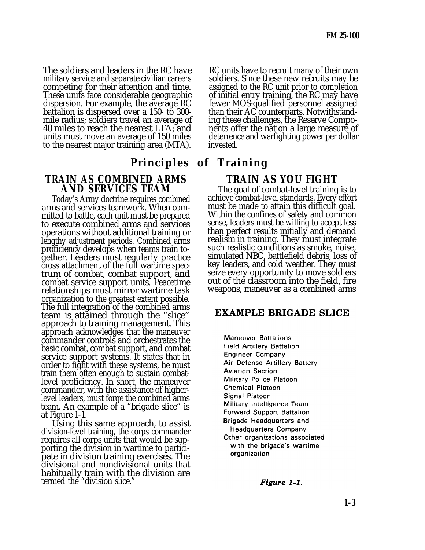The soldiers and leaders in the RC have military service and separate civilian careers competing for their attention and time. These units face considerable geographic dispersion. For example, the average RC battalion is dispersed over a 150- to 300 mile radius; soldiers travel an average of 40 miles to reach the nearest LTA; and units must move an average of 150 miles to the nearest major training area (MTA).

# **TRAIN AS COMBINED ARMS AND SERVICES TEAM**

Today's Army doctrine requires combined arms and services teamwork. When committed to battle, each unit must be prepared to execute combined arms and services operations without additional training or lengthy adjustment periods. Combined arms proficiency develops when teams train together. Leaders must regularly practice cross attachment of the full wartime spectrum of combat, combat support, and combat service support units. Peacetime relationships must mirror wartime task organization to the greatest extent possible. The full integration of the combined arms team is attained through the "slice" approach to training management. This approach acknowledges that the maneuver commander controls and orchestrates the basic combat, combat support, and combat service support systems. It states that in order to fight with these systems, he must train them often enough to sustain combatlevel proficiency. In short, the maneuver commander, with the assistance of higherlevel leaders, must forge the combined arms team. An example of a "brigade slice" is at Figure 1-1.

Using this same approach, to assist division-level training, the corps commander requires all corps units that would be supporting the division in wartime to participate in division training exercises. The divisional and nondivisional units that habitually train with the division are termed the "division slice."

RC units have to recruit many of their own soldiers. Since these new recruits may be assigned to the RC unit prior to completion of initial entry training, the RC may have fewer MOS-qualified personnel assigned than their AC counterparts. Notwithstanding these challenges, the Reserve Components offer the nation a large measure of deterrence and warfighting power per dollar invested.

# **Principles of Training**

# **TRAIN AS YOU FIGHT**

The goal of combat-level training is to achieve combat-level standards. Every effort must be made to attain this difficult goal. Within the confines of safety and common sense, leaders must be willing to accept less than perfect results initially and demand realism in training. They must integrate such realistic conditions as smoke, noise, simulated NBC, battlefield debris, loss of key leaders, and cold weather. They must seize every opportunity to move soldiers out of the classroom into the field, fire weapons, maneuver as a combined arms

#### **EXAMPLE BRIGADE SLICE**

**Maneuver Battalions Field Artillery Battalion Engineer Company** Air Defense Artillery Battery **Aviation Section** Military Police Platoon **Chemical Platoon** Signal Platoon Military Intelligence Team **Forward Support Battalion Brigade Headquarters and Headquarters Company** Other organizations associated with the brigade's wartime organization

Figure 1-1.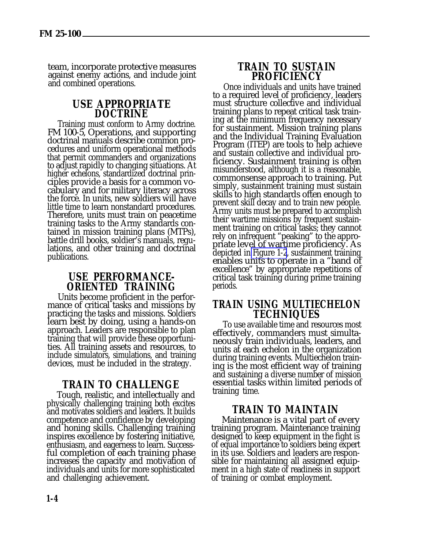team, incorporate protective measures against enemy actions, and include joint and combined operations.

#### **USE APPROPRIATE DOCTRINE**

Training must conform to Army doctrine. FM 100-5, Operations, and supporting doctrinal manuals describe common procedures and uniform operational methods that permit commanders and organizations to adjust rapidly to changing situations. At higher echelons, standardized doctrinal principles provide a basis for a common vocabulary and for military literacy across the force. In units, new soldiers will have little time to learn nonstandard procedures. Therefore, units must train on peacetime training tasks to the Army standards contained in mission training plans (MTPs), battle drill books, soldier's manuals, regulations, and other training and doctrinal publications.

#### **USE PERFORMANCE-ORIENTED TRAINING**

Units become proficient in the performance of critical tasks and missions by practicing the tasks and missions. Soldiers learn best by doing, using a hands-on approach. Leaders are responsible to plan training that will provide these opportunities. All training assets and resources, to include simulators, simulations, and training devices, must be included in the strategy.

### **TRAIN TO CHALLENGE**

Tough, realistic, and intellectually and physically challenging training both excites and motivates soldiers and leaders. It builds competence and confidence by developing and honing skills. Challenging training inspires excellence by fostering initiative, enthusiasm, and eagerness to learn. Successful completion of each training phase increases the capacity and motivation of individuals and units for more sophisticated and challenging achievement.

### **TRAIN TO SUSTAIN PROFICIENCY**

Once individuals and units have trained to a required level of proficiency, leaders must structure collective and individual training plans to repeat critical task training at the minimum frequency necessary for sustainment. Mission training plans and the Individual Training Evaluation Program (ITEP) are tools to help achieve and sustain collective and individual proficiency. Sustainment training is often misunderstood, although it is a reasonable, commonsense approach to training. Put simply, sustainment training must sustain skills to high standards often enough to prevent skill decay and to train new people. Army units must be prepared to accomplish their wartime missions by frequent sustainment training on critical tasks; they cannot rely on infrequent "peaking" to the appropriate level of wartime proficiency. As depicted in [Figure 1-2](#page-8-0), sustainment training enables units to operate in a "band of excellence" by appropriate repetitions of critical task training during prime training periods.

### **TRAIN USING MULTIECHELON TECHNIQUES**

To use available time and resources most effectively, commanders must simultaneously train individuals, leaders, and units at each echelon in the organization during training events. Multiechelon training is the most efficient way of training and sustaining a diverse number of mission essential tasks within limited periods of training time.

### **TRAIN TO MAINTAIN**

Maintenance is a vital part of every training program. Maintenance training designed to keep equipment in the fight is of equal importance to soldiers being expert in its use. Soldiers and leaders are responsible for maintaining all assigned equipment in a high state of readiness in support of training or combat employment.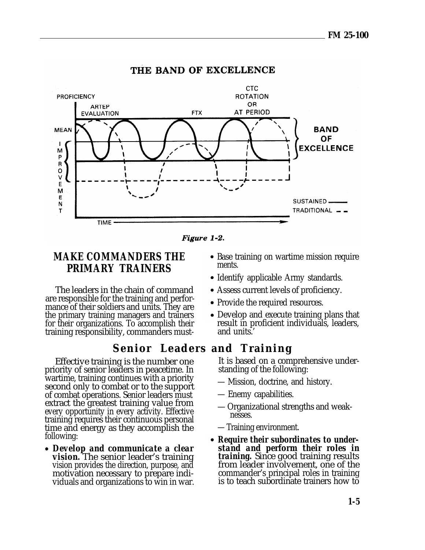<span id="page-8-0"></span>

#### THE BAND OF EXCELLENCE

Figure 1-2.

ments.

and units.'

# **MAKE COMMANDERS THE PRIMARY TRAINERS**

The leaders in the chain of command are responsible for the training and performance of their soldiers and units. They are the primary training managers and trainers for their organizations. To accomplish their training responsibility, commanders must-

# **Senior Leaders and Training**

Effective training is the number one priority of senior leaders in peacetime. In wartime, training continues with a priority second only to combat or to the support of combat operations. Senior leaders must extract the greatest training value from every opportunity in every activity. Effective training requires their continuous personal time and energy as they accomplish the following:

*Develop and communicate a clear vision.* The senior leader's training vision provides the direction, purpose, and motivation necessary to prepare individuals and organizations to win in war.

It is based on a comprehensive understanding of the following:

• Base training on wartime mission require

• Develop and execute training plans that result in proficient individuals, leaders,

• Identify applicable Army standards. Assess current levels of proficiency.

• Provide the required resources.

- Mission, doctrine, and history.
- Enemy capabilities.
- Organizational strengths and weaknesses.
- Training environment.
- *Require their subordinates to understand and perform their roles in training.* Since good training results from leader involvement, one of the commander's principal roles in training is to teach subordinate trainers how to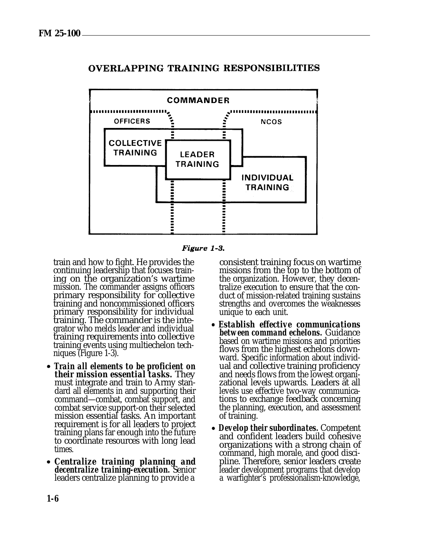

### **OVERLAPPING TRAINING RESPONSIBILITIES**

Figure 1-3.

train and how to fight. He provides the continuing leadership that focuses training on the organization's wartime mission. The commander assigns officers primary responsibility for collective training and noncommissioned officers primary responsibility for individual training. The commander is the integrator who melds leader and individual training requirements into collective training events using multiechelon techniques (Figure 1-3).

- *Train all elements to be proficient on their mission essential tasks.* They must integrate and train to Army standard all elements in and supporting their command—combat, combat support, and combat service support-on their selected mission essential tasks. An important requirement is for all leaders to project training plans far enough into the future to coordinate resources with long lead times.
- *Centralize training planning and decentralize training-execution.* Senior leaders centralize planning to provide a

consistent training focus on wartime missions from the top to the bottom of the organization. However, they decentralize execution to ensure that the conduct of mission-related training sustains strengths and overcomes the weaknesses unique to each unit.

- *Establish effective communications between command echelons.* Guidance based on wartime missions and priorities flows from the highest echelons downward. Specific information about individual and collective training proficiency and needs flows from the lowest organizational levels upwards. Leaders at all levels use effective two-way communications to exchange feedback concerning the planning, execution, and assessment of training.
- *Develop their subordinates.* Competent and confident leaders build cohesive organizations with a strong chain of command, high morale, and good discipline. Therefore, senior leaders create leader development programs that develop a warfighter's professionalism-knowledge,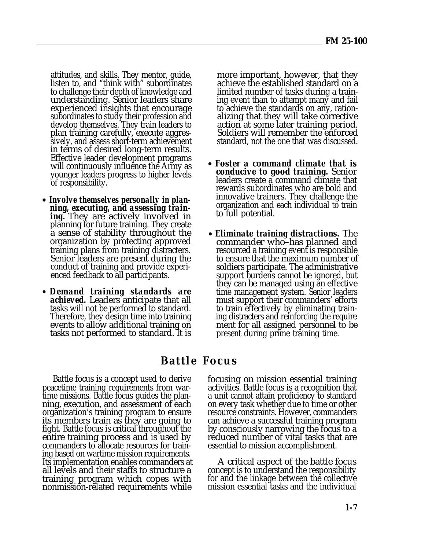attitudes, and skills. They mentor, guide, listen to, and "think with" subordinates to challenge their depth of knowledge and understanding. Senior leaders share experienced insights that encourage subordinates to study their profession and develop themselves. They train leaders to plan training carefully, execute aggressively, and assess short-term achievement in terms of desired long-term results. Effective leader development programs will continuously influence the Army as younger leaders progress to higher levels of responsibility.

- *Involve themselves personally in planning, executing, and assessing training.* They are actively involved in planning for future training. They create a sense of stability throughout the organization by protecting approved training plans from training distracters. Senior leaders are present during the conduct of training and provide experienced feedback to all participants.
- *Demand training standards are* achieved. Leaders anticipate that all tasks will not be performed to standard. Therefore, they design time into training events to allow additional training on tasks not performed to standard. It is

more important, however, that they achieve the established standard on a limited number of tasks during a training event than to attempt many and fail to achieve the standards on any, rationalizing that they will take corrective action at some later training period. Soldiers will remember the enforced standard, not the one that was discussed.

- *Foster a command climate that is conducive to good training.* Senior leaders create a command climate that rewards subordinates who are bold and innovative trainers. They challenge the organization and each individual to train to full potential.
- *Eliminate training distractions.* The commander who–has planned and resourced a training event is responsible to ensure that the maximum number of soldiers participate. The administrative support burdens cannot be ignored, but they can be managed using an effective time management system. Senior leaders must support their commanders' efforts to train effectively by eliminating training distracters and reinforcing the require ment for all assigned personnel to be present during prime training time.

# **Battle Focus**

Battle focus is a concept used to derive peacetime training requirements from wartime missions. Battle focus guides the planning, execution, and assessment of each organization's training program to ensure its members train as they are going to fight. Battle focus is critical throughout the entire training process and is used by commanders to allocate resources for training based on wartime mission requirements. Its implementation enables commanders at all levels and their staffs to structure a training program which copes with nonmission-related requirements while

focusing on mission essential training activities. Battle focus is a recognition that a unit cannot attain proficiency to standard on every task whether due to time or other resource constraints. However, commanders can achieve a successful training program by consciously narrowing the focus to a reduced number of vital tasks that are essential to mission accomplishment.

A critical aspect of the battle focus concept is to understand the responsibility for and the linkage between the collective mission essential tasks and the individual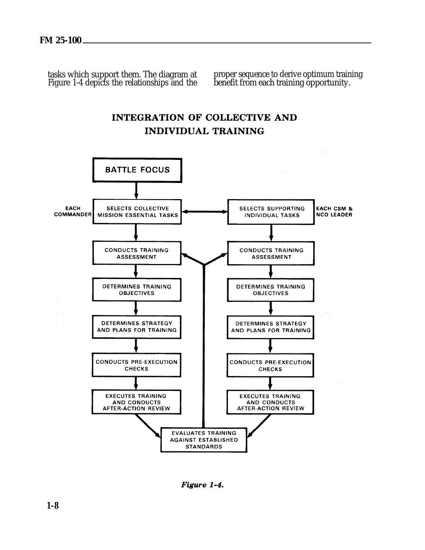tasks which support them. The diagram at all proper sequence to derive optimum training Figure 1-4 depicts the relationships and the benefit from each training opportunity.



**INTEGRATION OF COLLECTIVE AND**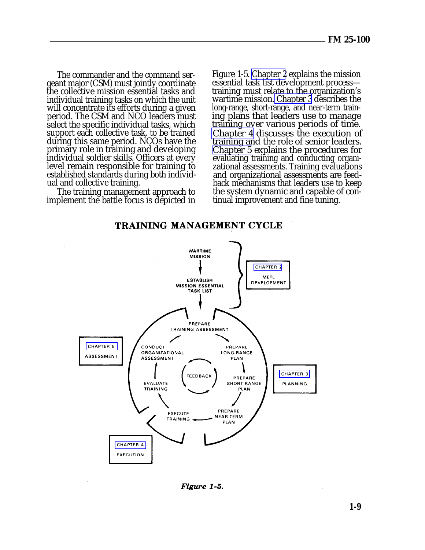The commander and the command sergeant major (CSM) must jointly coordinate the collective mission essential tasks and individual training tasks on which the unit will concentrate its efforts during a given period. The CSM and NCO leaders must select the specific individual tasks, which support each collective task, to be trained during this same period. NCOs have the primary role in training and developing individual soldier skills. Officers at every level remain responsible for training to established standards during both individual and collective training.

The training management approach to implement the battle focus is depicted in

Figure 1-5. [Chapter 2](#page-0-0) explains the mission essential task list development process training must relate to the organization's wartime mission. [Chapter 3](#page-0-0) describes the long-range, short-range, and near-term training plans that leaders use to manage training over various periods of time. [Chapter 4](#page-0-0) discusses the execution of training and the role of senior leaders. [Chapter 5](#page-0-0) explains the procedures for evaluating training and conducting organizational assessments. Training evaluations and organizational assessments are feedback mechanisms that leaders use to keep the system dynamic and capable of continual improvement and fine tuning.

TRAINING MANAGEMENT CYCLE



Figure 1-5.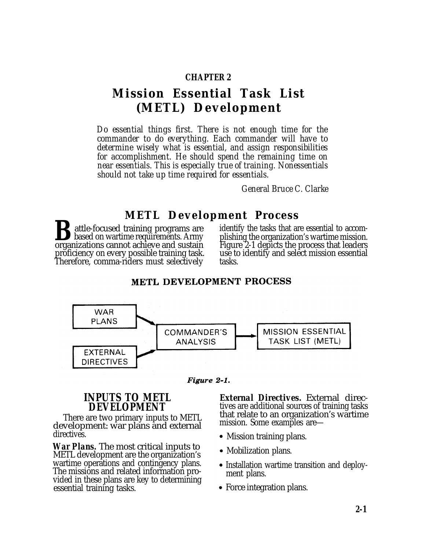#### **CHAPTER 2**

# **Mission Essential Task List (METL) Development**

*Do essential things first. There is not enough time for the commander to do everything. Each commander will have to determine wisely what is essential, and assign responsibilities for accomplishment. He should spend the remaining time on near essentials. This is especially true of training. Nonessentials should not take up time required for essentials.*

*General Bruce C. Clarke*

# **METL Development Process**

**B**attle-focused training programs are identify the tasks that are essential to accombised on wartime requirements. Army plishing the organization's wartime mission.<br>Training the organization's wartime mission. proficiency on every possible training task. use to identify and selectively and selectively and selectively a<br>Therefore, comma-riders must selectively and tasks. Therefore, comma-riders must selectively

plishing the organization's wartime mission. Figure 2-1 depicts the process that leaders<br>use to identify and select mission essential

#### METL DEVELOPMENT PROCESS





There are two primary inputs to METL that relate to an organization<br>volonment: war plans and external imission. Some examples are development: war plans and external directives.

*War Plans.* The most critical inputs to METL development are the organization's wartime operations and contingency plans. The missions and related information provided in these plans are key to determining essential training tasks.

**INPUTS TO METL** *External Directives.* External direc-<br>DEVELOPMENT tives are additional sources of training tasks tives are additional sources of training tasks<br>that relate to an organization's wartime

- Mission training plans.
- Mobilization plans.
- Installation wartime transition and deployment plans.
- Force integration plans.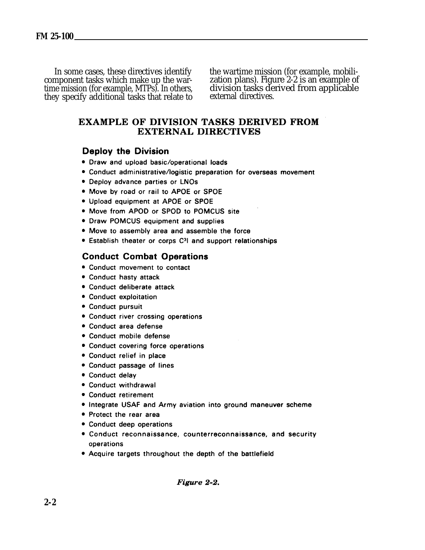In some cases, these directives identify the wartime mission (for example, mobili-<br>component tasks which make up the war-<br>zation plans). Figure 2-2 is an example of component tasks which make up the war- zation plans). Figure 2-2 is an example of time mission (for example, MTPs). In others, division tasks derived from applicable they specify additional tasks that relate to external directives.

#### **EXAMPLE OF DIVISION TASKS DERIVED FROM EXTERNAL DIRECTIVES**

#### **Deploy the Division**

- Draw and upload basic/operational loads
- Conduct administrative/logistic preparation for overseas movement
- Deploy advance parties or LNOs
- . Move by road or rail to APOE or SPOE
- Upload equipment at APOE or SPOE
- Move from APOD or SPOD to POMCUS site
- Draw POMCUS equipment and supplies
- Move to assembly area and assemble the force
- Establish theater or corps C<sup>3</sup>l and support relationships

### **Conduct Combat Operations**

- Conduct movement to contact
- Conduct hasty attack
- Conduct deliberate attack
- Conduct exploitation
- Conduct pursuit
- Conduct river crossing operations
- Conduct area defense
- Conduct mobile defense
- Conduct covering force operations
- Conduct relief in place
- Conduct passage of lines
- Conduct delay
- Conduct withdrawal
- Conduct retirement
- Integrate USAF and Army aviation into ground maneuver scheme
- Protect the rear area
- Conduct deep operations
- Conduct reconnaissance, counterreconnaissance, and security operations
- Acquire targets throughout the depth of the battlefield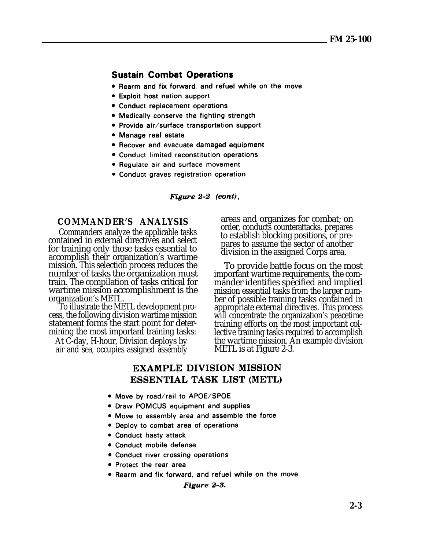#### **Sustain Combat Operations**

- Rearm and fix forward, and refuel while on the move
- **Exploit host nation support**
- Conduct replacement operations
- Medically conserve the fighting strength
- Provide air/surface transportation support
- Manage real estate
- Recover and evacuate damaged equipment
- Conduct limited reconstitution operations
- Regulate air and surface movement
- Conduct graves registration operation

Figure  $2-2$  (cont).

#### **COMMANDER'S ANALYSIS**

Commanders analyze the applicable tasks contained in external directives and select for training only those tasks essential to accomplish their organization's wartime mission. This selection process reduces the number of tasks the organization must train. The compilation of tasks critical for wartime mission accomplishment is the organization's METL.

To illustrate the METL development process, the following division wartime mission statement forms the start point for determining the most important training tasks:

At C-day, H-hour, Division deploys by air and sea, occupies assigned assembly areas and organizes for combat; on order, conducts counterattacks, prepares to establish blocking positions, or prepares to assume the sector of another division in the assigned Corps area.

To provide battle focus on the most important wartime requirements, the commander identifies specified and implied mission essential tasks from the larger number of possible training tasks contained in appropriate external directives. This process will concentrate the organization's peacetime training efforts on the most important collective training tasks required to accomplish the wartime mission. An example division METL is at Figure 2-3.

### **EXAMPLE DIVISION MISSION** ESSENTIAL TASK LIST (METL)

- . Move by road/rail to APOE/SPOE
- Draw POMCUS equipment and supplies
- Move to assembly area and assemble the force
- Deploy to combat area of operations
- Conduct hasty attack
- Conduct mobile defense
- Conduct river crossing operations
- Protect the rear area
- Rearm and fix forward, and refuel while on the move

#### Figure 2-3.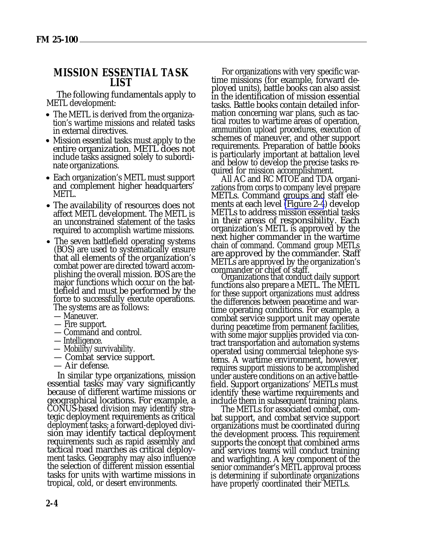#### **MISSION ESSENTIAL TASK LIST**

The following fundamentals apply to METL development:

- The METL is derived from the organization's wartime missions and related tasks in external directives.
- Mission essential tasks must apply to the entire organization. METL does not include tasks assigned solely to subordinate organizations.
- Each organization's METL must support and complement higher headquarters' METL.
- The availability of resources does not affect METL development. The METL is an unconstrained statement of the tasks required to accomplish wartime missions.
- The seven battlefield operating systems (BOS) are used to systematically ensure that all elements of the organization's combat power are directed toward accomplishing the overall mission. BOS are the major functions which occur on the battlefield and must be performed by the force to successfully execute operations. The systems are as follows:
	- Maneuver.
	- Fire support.
	- Command and control.
	- Intelligence.
	- Mobility/survivability.
	- Combat service support.
	- Air defense.

In similar type organizations, mission essential tasks may vary significantly because of different wartime missions or geographical locations. For example, a CONUS-based division may identify strategic deployment requirements as critical deployment tasks; a forward-deployed division may identify tactical deployment requirements such as rapid assembly and tactical road marches as critical deployment tasks. Geography may also influence the selection of different mission essential tasks for units with wartime missions in tropical, cold, or desert environments.

For organizations with very specific wartime missions (for example, forward deployed units), battle books can also assist in the identification of mission essential tasks. Battle books contain detailed information concerning war plans, such as tactical routes to wartime areas of operation, ammunition upload procedures, execution of schemes of maneuver, and other support requirements. Preparation of battle books is particularly important at battalion level and below to develop the precise tasks required for mission accomplishment.

All AC and RC MTOE and TDA organizations from corps to company level prepare METLs. Command groups and staff ele-ments at each level [\(Figure 2-4](#page-17-0)) develop METLs to address mission essential tasks in their areas of responsibility. Each organization's METL is approved by the next higher commander in the wartime chain of command. Command group METLs are approved by the commander. Staff METLs are approved by the organization's commander or chief of staff.

Organizations that conduct daily support functions also prepare a METL. The METL for these support organizations must address the differences between peacetime and wartime operating conditions. For example, a combat service support unit may operate during peacetime from permanent facilities, with some major supplies provided via contract transportation and automation systems operated using commercial telephone systems. A wartime environment, however, requires support missions to be accomplished under austere conditions on an active battlefield. Support organizations' METLs must identify these wartime requirements and include them in subsequent training plans.

The METLs for associated combat, combat support, and combat service support organizations must be coordinated during the development process. This requirement supports the concept that combined arms and services teams will conduct training and warfighting. A key component of the senior commander's METL approval process is determining if subordinate organizations have properly coordinated their METLs.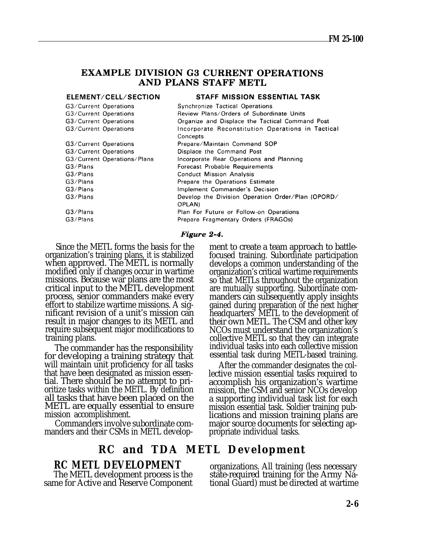#### <span id="page-17-0"></span>**EXAMPLE DIVISION G3 CURRENT OPERATIONS** AND PLANS STAFF METL

| ELEMENT/CELL/SECTION        | STAFF MISSION ESSENTIAL TASK                                  |
|-----------------------------|---------------------------------------------------------------|
| G3/Current Operations       | <b>Synchronize Tactical Operations</b>                        |
| G3/Current Operations       | Review Plans/Orders of Subordinate Units                      |
| G3/Current Operations       | Organize and Displace the Tactical Command Post               |
| G3/Current Operations       | Incorporate Reconstitution Operations in Tactical<br>Concepts |
| G3/Current Operations       | Prepare/Maintain Command SOP                                  |
| G3/Current Operations       | Displace the Command Post                                     |
| G3/Current Operations/Plans | Incorporate Rear Operations and Planning                      |
| G3/Plans                    | Forecast Probable Requirements                                |
| G3/Plans                    | <b>Conduct Mission Analysis</b>                               |
| G3/Plans                    | Prepare the Operations Estimate                               |
| G3/Plans                    | Implement Commander's Decision                                |
| G3/Plans                    | Develop the Division Operation Order/Plan (OPORD/<br>OPLAN)   |
| G3/Plans                    | Plan For Future or Follow-on Operations                       |
| G3/Plans                    | Prepare Fragmentary Orders (FRAGOs)                           |

#### Figure 2-4.

Since the METL forms the basis for the organization's training plans, it is stabilized when approved. The METL is normally modified only if changes occur in wartime missions. Because war plans are the most critical input to the METL development process, senior commanders make every effort to stabilize wartime missions. A significant revision of a unit's mission can result in major changes to its METL and require subsequent major modifications to training plans.

The commander has the responsibility for developing a training strategy that will maintain unit proficiency for all tasks that have been designated as mission essential. There should be no attempt to prioritize tasks within the METL. By definition all tasks that have been placed on the METL are equally essential to ensure mission accomplishment.

Commanders involve subordinate commanders and their CSMs in METL develop-

## **RC and TDA METL Development**

same for Active and Reserve Component

ment to create a team approach to battlefocused training. Subordinate participation develops a common understanding of the organization's critical wartime requirements so that METLs throughout the organization are mutually supporting. Subordinate commanders can subsequently apply insights gained during preparation of the next higher headquarters' METL to the development of their own METL. The CSM and other key NCOs must understand the organization's collective METL so that they can integrate individual tasks into each collective mission essential task during METL-based training.

After the commander designates the collective mission essential tasks required to accomplish his organization's wartime mission, the CSM and senior NCOs develop a supporting individual task list for each mission essential task. Soldier training publications and mission training plans are major source documents for selecting appropriate individual tasks.

**RC METL DEVELOPMENT** organizations. All training (less necessary The METL development process is the state-required training for the Army Nastate-required training for the Army National Guard) must be directed at wartime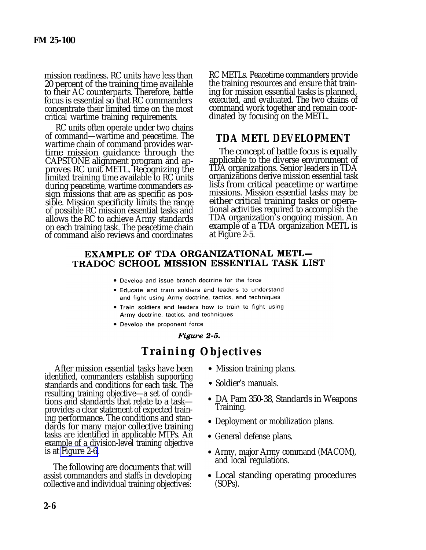mission readiness. RC units have less than 20 percent of the training time available to their AC counterparts. Therefore, battle focus is essential so that RC commanders concentrate their limited time on the most critical wartime training requirements.

RC units often operate under two chains of command—wartime and peacetime. The wartime chain of command provides wartime mission guidance through the CAPSTONE alignment program and approves RC unit METL. Recognizing the limited training time available to RC units during peacetime, wartime commanders assign missions that are as specific as possible. Mission specificity limits the range of possible RC mission essential tasks and allows the RC to achieve Army standards on each training task. The peacetime chain of command also reviews and coordinates

RC METLs. Peacetime commanders provide the training resources and ensure that training for mission essential tasks is planned, executed, and evaluated. The two chains of command work together and remain coordinated by focusing on the METL.

### **TDA METL DEVELOPMENT**

The concept of battle focus is equally applicable to the diverse environment of TDA organizations. Senior leaders in TDA organizations derive mission essential task lists from critical peacetime or wartime missions. Mission essential tasks may be either critical training tasks or operational activities required to accomplish the TDA organization's ongoing mission. An example of a TDA organization METL is at Figure 2-5.

#### **EXAMPLE OF TDA ORGANIZATIONAL METL-**TRADOC SCHOOL MISSION ESSENTIAL TASK LIST

- . Develop and issue branch doctrine for the force
- . Educate and train soldiers and leaders to understand and fight using Army doctrine, tactics, and techniques
- . Train soldiers and leaders how to train to fight using Army doctrine, tactics, and techniques
- Develop the proponent force

#### Figure 2-5.

# **Training Objectives**

After mission essential tasks have been identified, commanders establish supporting standards and conditions for each task. The resulting training objective—a set of conditions and standards that relate to a task provides a clear statement of expected training performance. The conditions and standards for many major collective training tasks are identified in applicable MTPs. An example of a division-level training objective is at [Figure 2-6.](#page-19-0)

The following are documents that will assist commanders and staffs in developing collective and individual training objectives:

- Mission training plans.
- Soldier's manuals.
- DA Pam 350-38, Standards in Weapons Training.
- Deployment or mobilization plans.
- General defense plans.
- Army, major Army command (MACOM), and local regulations.
- Local standing operating procedures (SOPs).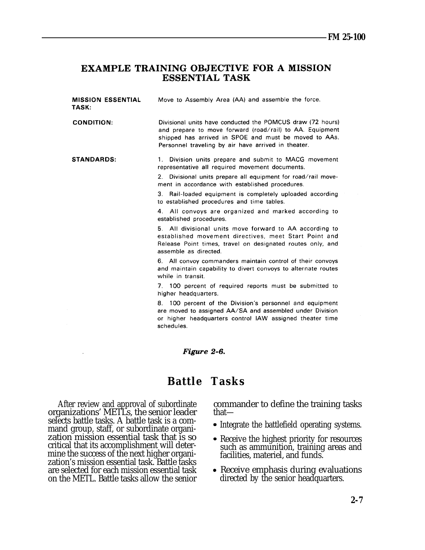#### <span id="page-19-0"></span>**EXAMPLE TRAINING OBJECTIVE FOR A MISSION ESSENTIAL TASK**

| <b>MISSION ESSENTIAL</b><br>TASK: | Move to Assembly Area (AA) and assemble the force.                                                                                                                                                                                     |
|-----------------------------------|----------------------------------------------------------------------------------------------------------------------------------------------------------------------------------------------------------------------------------------|
| <b>CONDITION:</b>                 | Divisional units have conducted the POMCUS draw (72 hours)<br>and prepare to move forward (road/rail) to AA. Equipment<br>shipped has arrived in SPOE and must be moved to AAs.<br>Personnel traveling by air have arrived in theater. |
| <b>STANDARDS:</b>                 | 1. Division units prepare and submit to MACG movement<br>representative all required movement documents.                                                                                                                               |
|                                   | Divisional units prepare all equipment for road/rail move-<br>2.<br>ment in accordance with established procedures.                                                                                                                    |
|                                   |                                                                                                                                                                                                                                        |

3. Rail-loaded equipment is completely uploaded according to established procedures and time tables.

4. All convoys are organized and marked according to established procedures.

5. All divisional units move forward to AA according to established movement directives, meet Start Point and Release Point times, travel on designated routes only, and assemble as directed.

6. All convoy commanders maintain control of their convoys and maintain capability to divert convoys to alternate routes while in transit.

7. 100 percent of required reports must be submitted to higher headquarters.

8. 100 percent of the Division's personnel and equipment are moved to assigned AA/SA and assembled under Division or higher headquarters control IAW assigned theater time schedules.

#### Figure 2-6.

# **Battle Tasks**

organizations' METL's, the senior leader selects battle tasks. A battle task is a command group, staff, or subordinate organization mission essential task that is so critical that its accomplishment will determine the success of the next higher organization's mission essential task. Battle tasks are selected for each mission essential task on the METL. Battle tasks allow the senior

After review and approval of subordinate commander to define the training tasks<br>ganizations' METLs, the senior leader that—

- Integrate the battlefield operating systems.
- Receive the highest priority for resources such as ammunition, training areas and facilities, materiel, and funds.
- Receive emphasis during evaluations directed by the senior headquarters.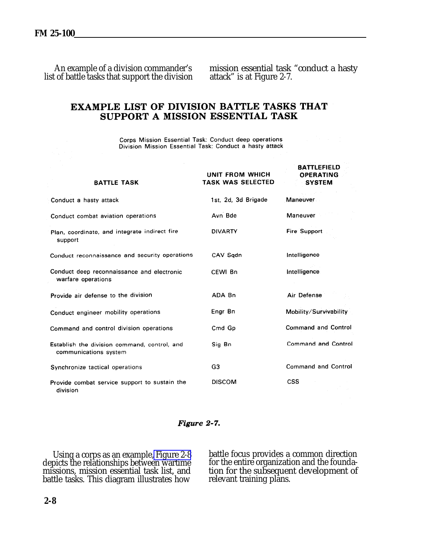list of battle tasks that support the division

An example of a division commander's mission essential task "conduct a hasty tof battle tasks that support the division attack" is at Figure 2-7.

### **EXAMPLE LIST OF DIVISION BATTLE TASKS THAT** SUPPORT A MISSION ESSENTIAL TASK

Corps Mission Essential Task: Conduct deep operations Division Mission Essential Task: Conduct a hasty attack

| <b>BATTLE TASK</b>                                                    | UNIT FROM WHICH<br><b>TASK WAS SELECTED</b> | <b>BATTLEFIELD</b><br><b>OPERATING</b><br><b>SYSTEM</b> |
|-----------------------------------------------------------------------|---------------------------------------------|---------------------------------------------------------|
| Conduct a hasty attack                                                | 1st. 2d. 3d Brigade                         | Maneuver                                                |
| Conduct combat aviation operations                                    | Avn Bde                                     | Maneuver                                                |
| Plan, coordinate, and integrate indirect fire<br>support              | <b>DIVARTY</b>                              | <b>Fire Support</b>                                     |
| Conduct reconnaissance and security operations                        | CAV Sadn                                    | Intelligence                                            |
| Conduct deep reconnaissance and electronic<br>warfare operations      | CEWI Bn                                     | Intelligence                                            |
| Provide air defense to the division                                   | ADA Bn                                      | Air Defense                                             |
| Conduct engineer mobility operations                                  | Engr Bn                                     | Mobility/Survivability                                  |
| Command and control division operations                               | Cmd Gp                                      | <b>Command and Control</b>                              |
| Establish the division command, control, and<br>communications system | Sig Bn                                      | <b>Command and Control</b>                              |
| Synchronize tactical operations                                       | G <sub>3</sub>                              | <b>Command and Control</b>                              |
| Provide combat service support to sustain the<br>division             | <b>DISCOM</b>                               | <b>CSS</b>                                              |

Figure 2-7.

Using a corps as an example, Figure 2-8 battle focus provides a depicts the relationships between wartime for the entire organization issions, mission essential task list, and battle tasks. This diagram illustrates how rel

Using a corps as an example, [Figure 2-8](#page-21-0) battle focus provides a common direction depicts the relationships between wartime for the entire organization and the foundamissions, mission essential task list, and tion for the subsequent development of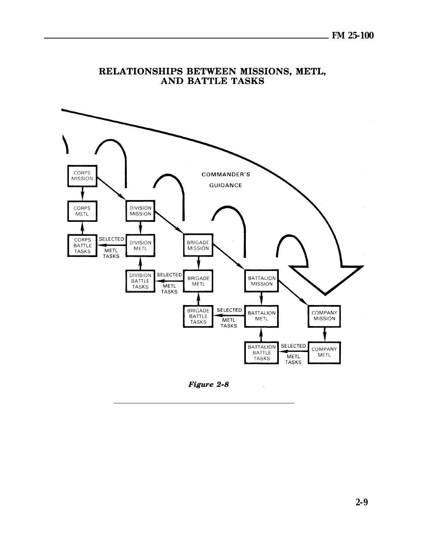<span id="page-21-0"></span>

#### RELATIONSHIPS BETWEEN MISSIONS, METL, **AND BATTLE TASKS**

Figure 2-8

 $\bar{\mathcal{A}}$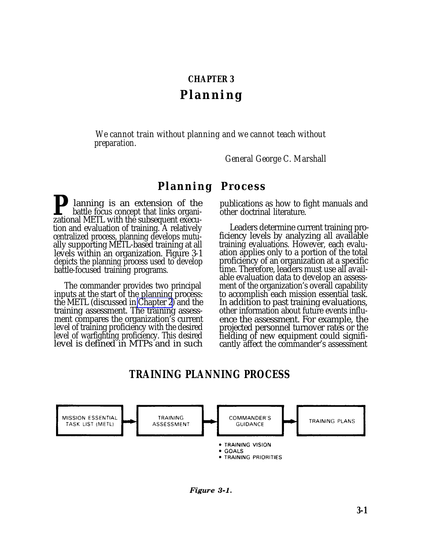#### **CHAPTER 3**

# **Planning**

*We cannot train without planning and we cannot teach without preparation.*

*General George C. Marshall*

# **Planning Process**

*Planning is an extension of the* battle focus concept that links organizational METL with the subsequent execution and evaluation of training. A relatively centralized process, planning develops mutually supporting METL-based training at all levels within an organization. Figure 3-1 depicts the planning process used to develop battle-focused training programs.

The commander provides two principal inputs at the start of the planning process: the METL (discussed in [Chapter 2](#page-0-0)) and the training assessment. The training assessment compares the organization's current level of training proficiency with the desired level of warfighting proficiency. This desired level is defined in MTPs and in such

publications as how to fight manuals and other doctrinal literature.

Leaders determine current training proficiency levels by analyzing all available training evaluations. However, each evaluation applies only to a portion of the total proficiency of an organization at a specific time. Therefore, leaders must use all available evaluation data to develop an assessment of the organization's overall capability to accomplish each mission essential task. In addition to past training evaluations, other information about future events influence the assessment. For example, the projected personnel turnover rates or the fielding of new equipment could significantly affect the commander's assessment

# **TRAINING PLANNING PROCESS**



Figure 3-1.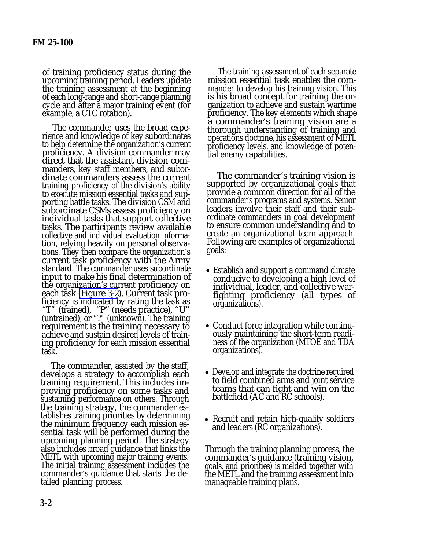of training proficiency status during the upcoming training period. Leaders update the training assessment at the beginning of each long-range and short-range planning cycle and after a major training event (for example, a CTC rotation).

The commander uses the broad experience and knowledge of key subordinates to help determine the organization's current proficiency. A division commander may direct that the assistant division commanders, key staff members, and subordinate commanders assess the current training proficiency of the division's ability to execute mission essential tasks and supporting battle tasks. The division CSM and subordinate CSMs assess proficiency on individual tasks that support collective tasks. The participants review available collective and individual evaluation information, relying heavily on personal observations. They then compare the organization's current task proficiency with the Army standard. The commander uses subordinate input to make his final determination of the organization's current proficiency on each task [\(Figure 3-2](#page-24-0)). Current task proficiency is indicated by rating the task as "T" (trained), "P" (needs practice), "U" (untrained), or "?" (unknown). The training requirement is the training necessary to achieve and sustain desired levels of training proficiency for each mission essential task.

The commander, assisted by the staff, develops a strategy to accomplish each training requirement. This includes improving proficiency on some tasks and sustaining performance on others. Through the training strategy, the commander establishes training priorities by determining the minimum frequency each mission essential task will be performed during the upcoming planning period. The strategy also includes broad guidance that links the METL with upcoming major training events. The initial training assessment includes the commander's guidance that starts the detailed planning process.

The training assessment of each separate mission essential task enables the commander to develop his training vision. This is his broad concept for training the organization to achieve and sustain wartime proficiency. The key elements which shape a commander's training vision are a thorough understanding of training and operations doctrine, his assessment of METL proficiency levels, and knowledge of potential enemy capabilities.

The commander's training vision is supported by organizational goals that provide a common direction for all of the commander's programs and systems. Senior leaders involve their staff and their subordinate commanders in goal development to ensure common understanding and to create an organizational team approach. Following are examples of organizational goals:

- Establish and support a command climate conducive to developing a high level of individual, leader, and collective warfighting proficiency (all types of organizations).
- Conduct force integration while continuously maintaining the short-term readiness of the organization (MTOE and TDA organizations).
- Develop and integrate the doctrine required to field combined arms and joint service teams that can fight and win on the battlefield (AC and RC schools).
- Recruit and retain high-quality soldiers and leaders (RC organizations).

Through the training planning process, the commander's guidance (training vision, goals, and priorities) is melded together with the METL and the training assessment into manageable training plans.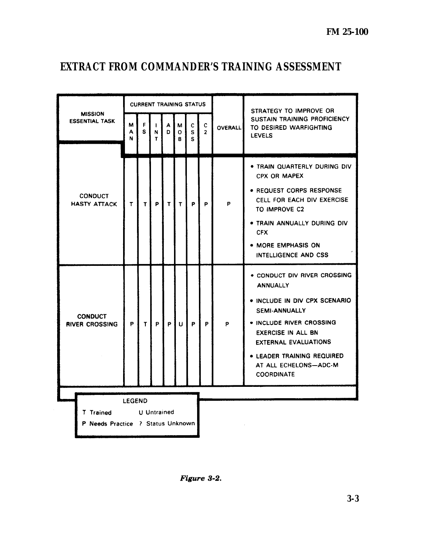L.

# <span id="page-24-0"></span>**EXTRACT FROM COMMANDER'S TRAINING ASSESSMENT**

|                                           |                                         |             | <b>CURRENT TRAINING STATUS</b> |                        |              |                        |              |                     |                | STRATEGY TO IMPROVE OR                                                                                                                                                                                                                                                       |  |
|-------------------------------------------|-----------------------------------------|-------------|--------------------------------|------------------------|--------------|------------------------|--------------|---------------------|----------------|------------------------------------------------------------------------------------------------------------------------------------------------------------------------------------------------------------------------------------------------------------------------------|--|
|                                           | <b>MISSION</b><br><b>ESSENTIAL TASK</b> | М<br>A<br>N | F.<br>S.                       | Ł<br>N<br>$\mathbf{r}$ | A<br>D       | М<br>$\mathbf{o}$<br>R | C.<br>S<br>s | c<br>$\overline{2}$ | <b>OVERALL</b> | <b>SUSTAIN TRAINING PROFICIENCY</b><br>TO DESIRED WARFIGHTING<br><b>LEVELS</b>                                                                                                                                                                                               |  |
|                                           | <b>CONDUCT</b><br><b>HASTY ATTACK</b>   | T           | T                              | <b>P</b>               | $\mathbf{T}$ | $\mathbf{T}$           | P.           | P                   | P              | . TRAIN QUARTERLY DURING DIV<br>CPX OR MAPEX<br>• REQUEST CORPS RESPONSE<br>CELL FOR EACH DIV EXERCISE<br>TO IMPROVE C2<br>. TRAIN ANNUALLY DURING DIV<br><b>CFX</b><br>• MORE EMPHASIS ON<br>INTELLIGENCE AND CSS                                                           |  |
|                                           | <b>CONDUCT</b><br><b>RIVER CROSSING</b> | P.          | T                              | P                      | P.           | $\mathbf{U}$           | P            | P                   | P              | • CONDUCT DIV RIVER CROSSING<br><b>ANNUALLY</b><br>. INCLUDE IN DIV CPX SCENARIO<br><b>SEMI-ANNUALLY</b><br>• INCLUDE RIVER CROSSING<br><b>EXERCISE IN ALL BN</b><br><b>EXTERNAL EVALUATIONS</b><br>• LEADER TRAINING REQUIRED<br>AT ALL ECHELONS-ADC-M<br><b>COORDINATE</b> |  |
| <b>LEGEND</b><br>U Untrained<br>T Trained |                                         |             |                                |                        |              |                        |              |                     |                |                                                                                                                                                                                                                                                                              |  |
| P Needs Practice ? Status Unknown         |                                         |             |                                |                        |              |                        |              |                     |                |                                                                                                                                                                                                                                                                              |  |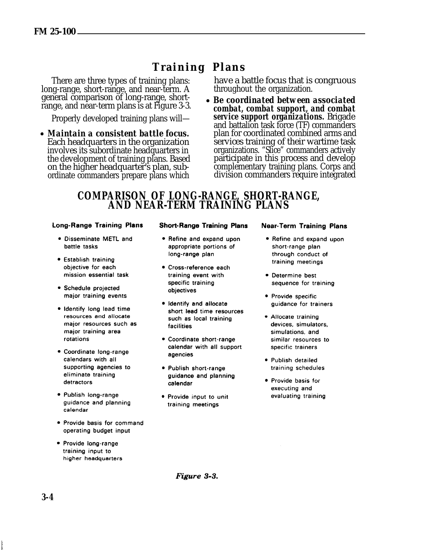# **Training Plans**

There are three types of training plans: long-range, short-range, and near-term. A general comparison of long-range, shortrange, and near-term plans is at Figure 3-3.

Properly developed training plans will—

*Maintain a consistent battle focus.* Each headquarters in the organization involves its subordinate headquarters in the development of training plans. Based on the higher headquarter's plan, subordinate commanders prepare plans which

have a battle focus that is congruous throughout the organization.

*Be coordinated between associated combat, combat support, and combat service support organizations.* Brigade and battalion task force (TF) commanders plan for coordinated combined arms and services training of their wartime task organizations. "Slice" commanders actively participate in this process and develop complementary training plans. Corps and division commanders require integrated

### **COMPARISON OF LONG-RANGE, SHORT-RANGE, AND NEAR-TERM TRAINING PLANS**

#### **Long-Range Training Plans**

- · Disseminate METL and battle tasks
- Establish training objective for each mission essential task
- Schedule projected major training events
- . Identify long lead time resources and allocate major resources such as major training area rotations
- Coordinate long-range calendars with all supporting agencies to eliminate training detractors
- · Publish long-range guidance and planning calendar
- Provide basis for command operating budget input
- Provide long-range training input to higher headquarters

#### **Short-Range Training Plans**

- Refine and expand upon appropriate portions of long-range plan
- · Cross-reference each training event with specific training objectives
- · Identify and allocate short lead time resources such as local training facilities
- Coordinate short-range calendar with all support agencies
- · Publish short-range guidance and planning calendar
- Provide input to unit training meetings

#### **Near-Term Training Plans**

- Refine and expand upon short-range plan through conduct of training meetings
- Determine best sequence for training
- Provide specific guidance for trainers
- · Allocate training devices, simulators, simulations, and similar resources to specific trainers
- Publish detailed training schedules
- · Provide basis for executing and evaluating training

Figure 3-3.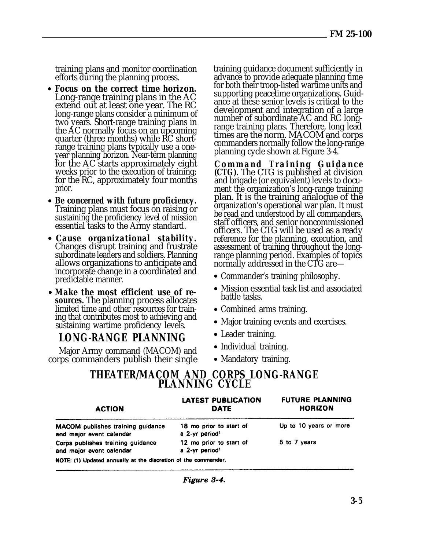training plans and monitor coordination efforts during the planning process.

- *Focus on the correct time horizon.* Long-range training plans in the AC extend out at least one year. The RC long-range plans consider a minimum of two years. Short-range training plans in the AC normally focus on an upcoming quarter (three months) while RC shortrange training plans typically use a oneyear planning horizon. Near-term planning for the AC starts approximately eight weeks prior to the execution of training; for the RC, approximately four months prior.
- *Be concerned with future proficiency.* Training plans must focus on raising or sustaining the proficiency level of mission essential tasks to the Army standard.
- *Cause organizational stability.* Changes disrupt training and frustrate subordinate leaders and soldiers. Planning allows organizations to anticipate and incorporate change in a coordinated and predictable manner.
- *Make the most efficient use of resources.* The planning process allocates limited time and other resources for training that contributes most to achieving and sustaining wartime proficiency levels.

# **LONG-RANGE PLANNING**

Major Army command (MACOM) and corps commanders publish their single training guidance document sufficiently in advance to provide adequate planning time for both their troop-listed wartime units and supporting peacetime organizations. Guidance at these senior levels is critical to the development and integration of a large number of subordinate AC and RC longrange training plans. Therefore, long lead times are the norm. MACOM and corps commanders normally follow the long-range planning cycle shown at Figure 3-4.

*Command Training Guidanc e (CTG).* The CTG is published at division and brigade (or equivalent) levels to document the organization's long-range training plan. It is the training analogue of the organization's operational war plan. It must be read and understood by all commanders, staff officers, and senior noncommissioned officers. The CTG will be used as a ready reference for the planning, execution, and assessment of training throughout the longrange planning period. Examples of topics normally addressed in the CTG are—

- Commander's training philosophy.
- Mission essential task list and associated battle tasks.
- Combined arms training.
- Major training events and exercises.
- Leader training.
- Individual training.
- Mandatory training.

### **THEATER/MACOM AND CORPS LONG-RANGE PLANNING CYCLE**

| <b>ACTION</b>                                                  | LATEST PUBLICATION<br>DATE                            | <b>FUTURE PLANNING</b><br><b>HORIZON</b> |
|----------------------------------------------------------------|-------------------------------------------------------|------------------------------------------|
| MACOM publishes training guidance<br>and major event calendar  | 18 mo prior to start of<br>a 2-yr period <sup>1</sup> | Up to 10 years or more                   |
| Corps publishes training guidance<br>and major event calendar  | 12 mo prior to start of<br>a 2-yr period <sup>1</sup> | 5 to 7 years                             |
| NOTE: (1) Updated annually at the discretion of the commander. |                                                       |                                          |

Figure 3-4.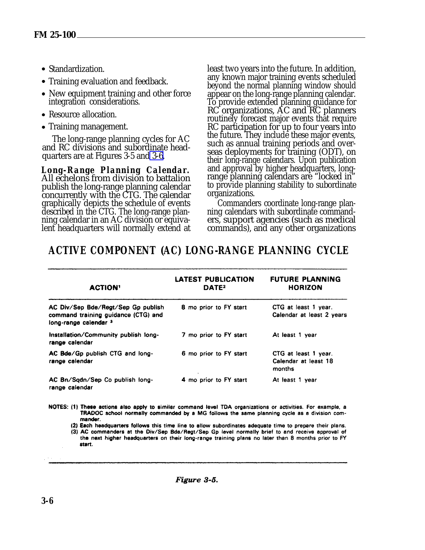- Standardization.
- Training evaluation and feedback.
- New equipment training and other force integration considerations.
- Resource allocation.
- Training management.

The long-range planning cycles for AC and RC divisions and subordinate headquarters are at Figures 3-5 and [3-6.](#page-28-0)

*Long-Range Planning Calendar.* All echelons from division to battalion publish the long-range planning calendar concurrently with the CTG. The calendar graphically depicts the schedule of events described in the CTG. The long-range planning calendar in an AC division or equivalent headquarters will normally extend at

least two years into the future. In addition, any known major training events scheduled beyond the normal planning window should appear on the long-range planning calendar. To provide extended planning guidance for RC organizations, AC and RC planners routinely forecast major events that require RC participation for up to four years into the future. They include these major events, such as annual training periods and overseas deployments for training (ODT), on their long-range calendars. Upon publication and approval by higher headquarters, longrange planning calendars are "locked in" to provide planning stability to subordinate organizations.

Commanders coordinate long-range planning calendars with subordinate commanders, support agencies (such as medical commands), and any other organizations

# **ACTIVE COMPONENT (AC) LONG-RANGE PLANNING CYCLE**

| <b>ACTION'</b>                                                                                     | <b>LATEST PUBLICATION</b><br>DATE <sup>2</sup> | <b>FUTURE PLANNING</b><br><b>HORIZON</b>               |
|----------------------------------------------------------------------------------------------------|------------------------------------------------|--------------------------------------------------------|
| AC Div/Sep Bde/Regt/Sep Gp publish<br>command training guidance (CTG) and<br>long-range calendar 3 | 8 mo prior to FY start                         | CTG at least 1 year.<br>Calendar at least 2 years      |
| Installation/Community publish long-<br>range calendar                                             | 7 mo prior to FY start                         | At least 1 year                                        |
| AC Bde/Gp publish CTG and long-<br>range calendar                                                  | 6 mo prior to FY start                         | CTG at least 1 year.<br>Calendar at least 18<br>months |
| AC Bn/Sqdn/Sep Co publish long-<br>range calendar                                                  | 4 mo prior to FY start                         | At least 1 year                                        |

- NOTES: (1) These actions also apply to similar command level TDA organizations or activities. For example, a TRADOC school normally commanded by a MG follows the same planning cycle as a division commander.
	- (2) Each headquarters follows this time line to allow subordinates adequate time to prepare their plans. (3) AC commanders at the Div/Sep Bde/Regt/Sep Gp level normally brief to and receive approval of the next higher headquarters on their long-range training plans no later than 8 months prior to FY start.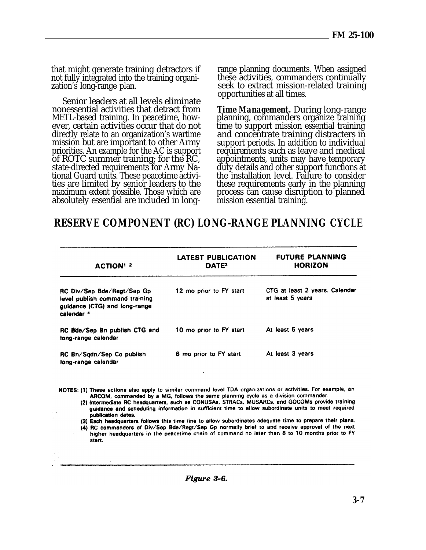<span id="page-28-0"></span>that might generate training detractors if not fully integrated into the training organization's long-range plan.

Senior leaders at all levels eliminate nonessential activities that detract from METL-based training. In peacetime, however, certain activities occur that do not directly relate to an organization's wartime mission but are important to other Army priorities. An example for the AC is support of ROTC summer training; for the RC, state-directed requirements for Army National Guard units. These peacetime activities are limited by senior leaders to the maximum extent possible. Those which are absolutely essential are included in longrange planning documents. When assigned these activities, commanders continually seek to extract mission-related training opportunities at all times.

*Time Management.* During long-range planning, commanders organize training time to support mission essential training and concentrate training distracters in support periods. In addition to individual requirements such as leave and medical appointments, units may have temporary duty details and other support functions at the installation level. Failure to consider these requirements early in the planning process can cause disruption to planned mission essential training.

# **RESERVE COMPONENT (RC) LONG-RANGE PLANNING CYCLE**

| <b>ACTION' 2</b>                                                                                                       | <b>LATEST PUBLICATION</b><br>DATE <sup>3</sup> | <b>FUTURE PLANNING</b><br><b>HORIZON</b>           |
|------------------------------------------------------------------------------------------------------------------------|------------------------------------------------|----------------------------------------------------|
| RC Div/Sep Bde/Regt/Sep Gp<br>level publish command training<br>guidance (CTG) and long-range<br>calendar <sup>4</sup> | 12 mo prior to FY start                        | CTG at least 2 years. Calendar<br>at least 5 years |
| RC Bde/Sep Bn publish CTG and<br>long-range calendar                                                                   | 10 mo prior to FY start                        | At least 5 years                                   |
| RC Bn/Sqdn/Sep Co publish<br>long-range calendar                                                                       | 6 mo prior to FY start                         | At least 3 years                                   |

- NOTES: (1) These actions also apply to similar command level TDA organizations or activities. For example, an ARCOM, commanded by a MG, follows the same planning cycle as a division commander.
	- (2) Intermediate RC headquarters, such as CONUSAs, STRACs, MUSARCs, and GOCOMs provide training guidance and scheduling information in sufficient time to allow subordinate units to meet required publication dates.
	- (3) Each headquarters follows this time line to allow subordinates adequate time to prepare their plans.
	- (4) RC commanders of Div/Sep Bde/Regt/Sep Gp normally brief to and receive approval of the next higher headquarters in the peacetime chain of command no later than 8 to 10 months prior to FY start.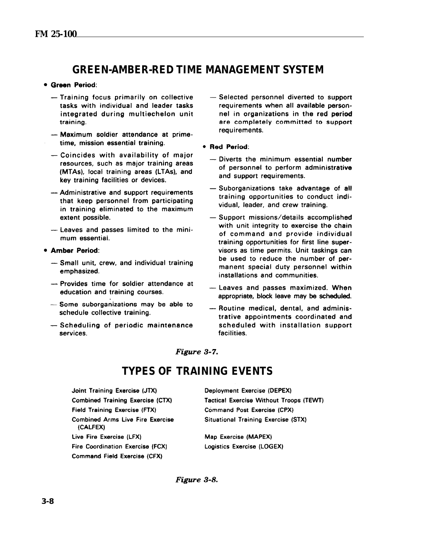# **GREEN-AMBER-RED TIME MANAGEMENT SYSTEM**

#### <span id="page-29-0"></span>· Green Period:

- Training focus primarily on collective tasks with individual and leader tasks integrated during multiechelon unit training.
- -- Maximum soldier attendance at primetime, mission essential training.
- Coincides with availability of major resources, such as major training areas (MTAs), local training areas (LTAs), and key training facilities or devices.
- Administrative and support requirements that keep personnel from participating in training eliminated to the maximum extent possible.
- Leaves and passes limited to the minimum essential.

#### • Amber Period:

- Small unit, crew, and individual training emphasized.
- Provides time for soldier attendance at education and training courses.
- Some suborganizations may be able to schedule collective training.
- Scheduling of periodic maintenance services.
- Selected personnel diverted to support requirements when all available personnel in organizations in the red period are completely committed to support requirements.
- Red Period:
	- Diverts the minimum essential number of personnel to perform administrative and support requirements.
	- Suborganizations take advantage of all training opportunities to conduct individual, leader, and crew training.
	- Support missions/details accomplished with unit integrity to exercise the chain of command and provide individual training opportunities for first line supervisors as time permits. Unit taskings can be used to reduce the number of permanent special duty personnel within installations and communities.
	- Leaves and passes maximized. When appropriate, block leave may be scheduled.
	- -- Routine medical, dental, and administrative appointments coordinated and scheduled with installation support facilities.

Figure 3-7.

# **TYPES OF TRAINING EVENTS**

Joint Training Exercise (JTX) **Combined Training Exercise (CTX)** Field Training Exercise (FTX) **Combined Arms Live Fire Exercise** (CALFEX) Live Fire Exercise (LFX) Fire Coordination Exercise (FCX) **Command Field Exercise (CFX)** 

Deployment Exercise (DEPEX) **Tactical Exercise Without Troops (TEWT)** Command Post Exercise (CPX) **Situational Training Exercise (STX)** 

Map Exercise (MAPEX) Logistics Exercise (LOGEX)

Figure 3-8.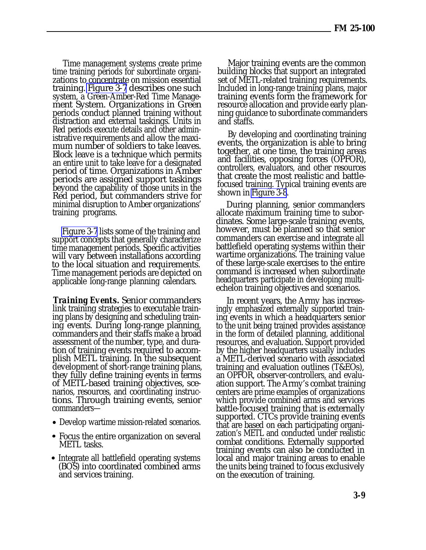Time management systems create prime time training periods for subordinate organizations to concentrate on mission essential training. [Figure 3-7](#page-29-0) describes one such system, a Green-Amber-Red Time Management System. Organizations in Green periods conduct planned training without distraction and external taskings. Units in Red periods execute details and other administrative requirements and allow the maximum number of soldiers to take leaves. Block leave is a technique which permits an entire unit to take leave for a designated period of time. Organizations in Amber periods are assigned support taskings beyond the capability of those units in the Red period, but commanders strive for minimal disruption to Amber organizations' training programs.

[Figure 3-7](#page-29-0) lists some of the training and support concepts that generally characterize time management periods. Specific activities will vary between installations according to the local situation and requirements. Time management periods are depicted on applicable long-range planning calendars.

*Training Events.* Senior commanders link training strategies to executable training plans by designing and scheduling training events. During long-range planning, commanders and their staffs make a broad assessment of the number, type, and duration of training events required to accomplish METL training. In the subsequent development of short-range training plans, they fully define training events in terms of METL-based training objectives, scenarios, resources, and coordinating instructions. Through training events, senior commanders—

- Develop wartime mission-related scenarios.
- Focus the entire organization on several METL tasks.
- Integrate all battlefield operating systems (BOS) into coordinated combined arms and services training.

Major training events are the common building blocks that support an integrated set of METL-related training requirements. Included in long-range training plans, major training events form the framework for resource allocation and provide early planning guidance to subordinate commanders and staffs.

By developing and coordinating training events, the organization is able to bring together, at one time, the training areas and facilities, opposing forces (OPFOR), controllers, evaluators, and other resources that create the most realistic and battlefocused training. Typical training events are shown in [Figure 3-8](#page-29-0).

During planning, senior commanders allocate maximum training time to subordinates. Some large-scale training events, however, must be planned so that senior commanders can exercise and integrate all battlefield operating systems within their wartime organizations. The training value of these large-scale exercises to the entire command is increased when subordinate headquarters participate in developing multiechelon training objectives and scenarios.

In recent years, the Army has increasingly emphasized externally supported training events in which a headquarters senior to the unit being trained provides assistance in the form of detailed planning, additional resources, and evaluation. Support provided by the higher headquarters usually includes a METL-derived scenario with associated training and evaluation outlines (T&EOs), an OPFOR, observer-controllers, and evaluation support. The Army's combat training centers are prime examples of organizations which provide combined arms and services battle-focused training that is externally supported. CTCs provide training events that are based on each participating organization's METL and conducted under realistic combat conditions. Externally supported training events can also be conducted in local and major training areas to enable the units being trained to focus exclusively on the execution of training.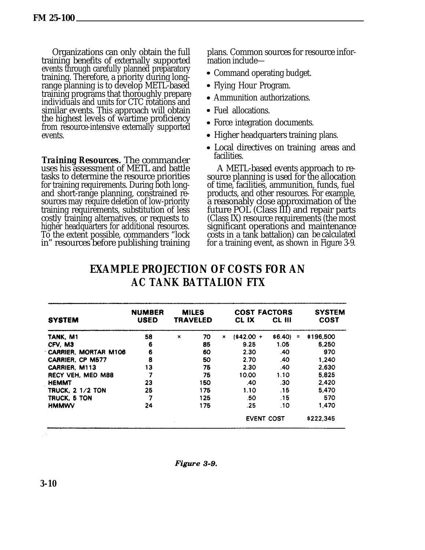Organizations can only obtain the full training benefits of externally supported events through carefully planned preparatory training. Therefore, a priority during longrange planning is to develop METL-based training programs that thoroughly prepare individuals and units for CTC rotations and similar events. This approach will obtain the highest levels of wartime proficiency from resource-intensive externally supported events.

*Training Resources.* The commander uses his assessment of METL and battle tasks to determine the resource priorities for training requirements. During both longand short-range planning, constrained resources may require deletion of low-priority training requirements, substitution of less costly training alternatives, or requests to higher headquarters for additional resources. To the extent possible, commanders "lock in" resources before publishing training

plans. Common sources for resource information include—

- Command operating budget.
- Flying Hour Program.
- Ammunition authorizations.
- Fuel allocations.
- Force integration documents.
- Higher headquarters training plans.
- Local directives on training areas and facilities.

A METL-based events approach to resource planning is used for the allocation of time, facilities, ammunition, funds, fuel products, and other resources. For example, a reasonably close approximation of the future POL (Class III) and repair parts (Class IX) resource requirements (the most significant operations and maintenance costs in a tank battalion) can be calculated for a training event, as shown in Figure 3-9.

| <b>SYSTEM</b>               | <b>NUMBER</b><br><b>USED</b> | <b>MILES</b><br><b>TRAVELED</b> |   | <b>COST FACTORS</b><br>CL IX | CL III              | <b>SYSTEM</b><br><b>COST</b> |
|-----------------------------|------------------------------|---------------------------------|---|------------------------------|---------------------|------------------------------|
| TANK, M1                    | 58                           | 70<br>×                         | × | $1842.00 +$                  | \$6.40)<br>$\equiv$ | \$196,500                    |
| CFV, M3                     | 6                            | 85                              |   | 9.25                         | 1.05                | 5.250                        |
| <b>CARRIER, MORTAR M106</b> | 6                            | 60                              |   | 2.30                         | .40                 | 970                          |
| <b>CARRIER, CP M577</b>     | 8                            | 50                              |   | 2.70                         | .40                 | 1.240                        |
| <b>CARRIER, M113</b>        | 13                           | 75                              |   | 2.30                         | .40                 | 2,630                        |
| RECY VEH, MED M88           | 7                            | 75                              |   | 10.00                        | 1.10                | 5.825                        |
| <b>HEMMT</b>                | 23                           | 150                             |   | .40                          | .30                 | 2.420                        |
| <b>TRUCK, 2 1/2 TON</b>     | 25                           | 175                             |   | 1.10                         | .15                 | 5.470                        |
| TRUCK, 5 TON                | 7                            | 125                             |   | .50                          | .15                 | 570                          |
| <b>HMMWV</b>                | 24                           | 175                             |   | .25                          | .10                 | 1,470                        |
|                             |                              |                                 |   | <b>EVENT COST</b>            |                     | \$222,345                    |

# **EXAMPLE PROJECTION OF COSTS FOR AN AC TANK BATTALION FTX**

Figure 3-9.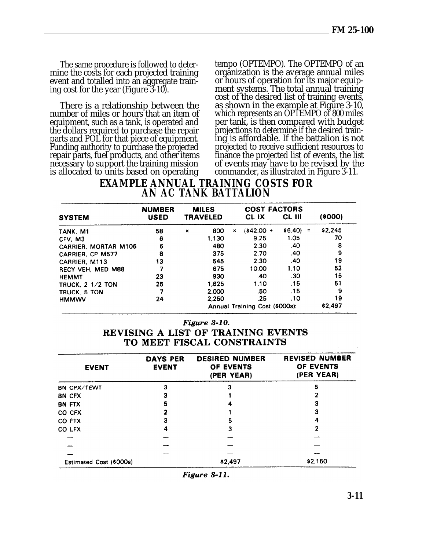event and totalled into an aggregate train-<br>ing cost for the year (Figure 3-10).

number of miles or hours that an item of which represents an OPTEMPO of 800 miles<br>equipment, such as a tank, is operated and per tank, is then compared with budget equipment, such as a tank, is operated and per tank, is then compared with budget<br>the dollars required to purchase the repair projections to determine if the desired trainthe dollars required to purchase the repair projections to determine if the desired train-<br>parts and POL for that piece of equipment. ing is affordable. If the battalion is not parts and POL for that piece of equipment. ing is affordable. If the battalion is not<br>Funding authority to purchase the projected projected to receive sufficient resources to Funding authority to purchase the projected projected to receive sufficient resources to repair parts, fuel products, and other items finance the projected list of events, the list repair parts, fuel products, and other items<br>necessary to support the training mission necessary to support the training mission of events may have to be revised by the is allocated to units based on operating commander, as illustrated in Figure 3-11.

<span id="page-32-0"></span>The same procedure is followed to deter-<br>mine the costs for each projected training organization is the average annual miles organization is the average annual miles<br>or hours of operation for its major equipment systems. The total annual training cost of the desired list of training events, There is a relationship between the as shown in the example at Figure 3-10, mber of miles or hours that an item of which represents an OPTEMPO of 800 miles commander, as illustrated in Figure 3-11.

### **EXAMPLE ANNUAL TRAINING COSTS FOR AN AC TANK BATTALION**

|                             | <b>NUMBER</b> | <b>MILES</b><br><b>TRAVELED</b> |       |   | <b>COST FACTORS</b>            |                     |         |
|-----------------------------|---------------|---------------------------------|-------|---|--------------------------------|---------------------|---------|
| <b>SYSTEM</b>               | <b>USED</b>   |                                 |       |   | CL IX                          | <b>CL III</b>       | (8000)  |
| TANK, M1                    | 58            | $\mathbf x$                     | 800   | × | $(442.00 +$                    | \$6.40)<br>$\equiv$ | \$2,245 |
| CFV. M3                     | 6             |                                 | 1.130 |   | 9.25                           | 1.05                | 70      |
| <b>CARRIER, MORTAR M106</b> | 6             |                                 | 480   |   | 2.30                           | .40                 | 8       |
| <b>CARRIER, CP M577</b>     | 8             |                                 | 375   |   | 2.70                           | .40                 | 9       |
| CARRIER, M113               | 13            |                                 | 545   |   | 2.30                           | .40                 | 19      |
| <b>RECY VEH. MED M88</b>    |               |                                 | 675   |   | 10.00                          | 1.10                | 52      |
| <b>HEMMT</b>                | 23            |                                 | 930   |   | .40                            | .30                 | 15      |
| <b>TRUCK, 2 1/2 TON</b>     | 25            |                                 | 1.625 |   | 1.10                           | .15                 | 51      |
| TRUCK, 5 TON                |               |                                 | 2.000 |   | .50                            | .15                 | 9       |
| <b>HMMWV</b>                | 24            |                                 | 2.250 |   | .25                            | .10                 | 19      |
|                             |               |                                 |       |   | Annual Training Cost (\$000s): |                     | \$2,497 |

#### Figure 3-10.

#### REVISING A LIST OF TRAINING EVENTS TO MEET FISCAL CONSTRAINTS

| <b>EVENT</b>            | <b>DAYS PER</b><br><b>EVENT</b> | <b>DESIRED NUMBER</b><br>OF EVENTS<br>(PER YEAR) | <b>REVISED NUMBER</b><br>OF EVENTS<br>(PER YEAR) |
|-------------------------|---------------------------------|--------------------------------------------------|--------------------------------------------------|
| <b>BN CPX/TEWT</b>      | з                               |                                                  | 5                                                |
| <b>BN CFX</b>           |                                 |                                                  |                                                  |
| <b>BN FTX</b>           | 5                               |                                                  |                                                  |
| CO CFX                  |                                 |                                                  | 3                                                |
| <b>CO FTX</b>           |                                 | 5                                                | 4                                                |
| CO LFX                  |                                 | 3                                                | 2                                                |
|                         |                                 |                                                  |                                                  |
|                         |                                 |                                                  |                                                  |
|                         |                                 |                                                  |                                                  |
| Estimated Cost (\$000s) |                                 | \$2,497                                          | \$2,150                                          |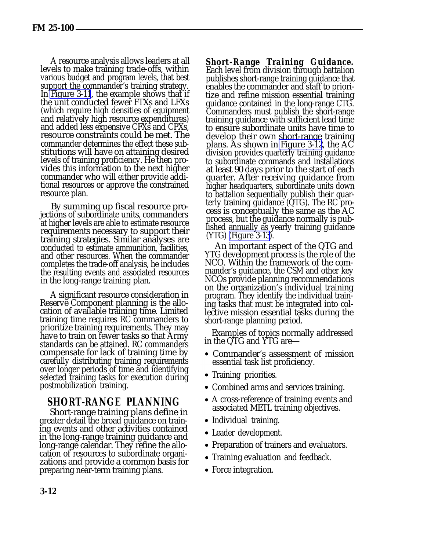A resource analysis allows leaders at all levels to make training trade-offs, within various budget and program levels, that best support the commander's training strategy. In [Figure 3-11](#page-32-0), the example shows that if the unit conducted fewer FTXs and LFXs (which require high densities of equipment and relatively high resource expenditures) and added less expensive CFXs and CPXs, resource constraints could be met. The commander determines the effect these substitutions will have on attaining desired levels of training proficiency. He then provides this information to the next higher commander who will either provide additional resources or approve the constrained resource plan.

By summing up fiscal resource projections of subordinate units, commanders at higher levels are able to estimate resource requirements necessary to support their training strategies. Similar analyses are conducted to estimate ammunition, facilities, and other resources. When the commander completes the trade-off analysis, he includes the resulting events and associated resources in the long-range training plan.

A significant resource consideration in Reserve Component planning is the allocation of available training time. Limited training time requires RC commanders to prioritize training requirements. They may have to train on fewer tasks so that Army standards can be attained. RC commanders compensate for lack of training time by carefully distributing training requirements over longer periods of time and identifying selected training tasks for execution during postmobilization training.

# **SHORT-RANGE PLANNING**

Short-range training plans define in greater detail the broad guidance on training events and other activities contained in the long-range training guidance and long-range calendar. They refine the allocation of resources to subordinate organizations and provide a common basis for preparing near-term training plans.

*Short-Range Training Guidance.* Each level from division through battalion publishes short-range training guidance that enables the commander and staff to prioritize and refine mission essential training guidance contained in the long-range CTG. Commanders must publish the short-range training guidance with sufficient lead time to ensure subordinate units have time to develop their own short-range training plans. As shown in [Figure 3-12](#page-34-0), the AC division provides quarterly training guidance to subordinate commands and installations at least 90 days prior to the start of each quarter. After receiving guidance from higher headquarters, subordinate units down to battalion sequentially publish their quarterly training guidance  $(QTG)$ . The RC process is conceptually the same as the AC process, but the guidance normally is published annually as yearly training guidance (YTG) [\(Figure 3-13\)](#page-34-0).

An important aspect of the QTG and YTG development process is the role of the NCO. Within the framework of the commander's guidance, the CSM and other key NCOs provide planning recommendations on the organization's individual training program. They identify the individual training tasks that must be integrated into collective mission essential tasks during the short-range planning period.

Examples of topics normally addressed in the QTG and YTG are—

- Commander's assessment of mission essential task list proficiency.
- Training priorities.
- Combined arms and services training.
- A cross-reference of training events and associated METL training objectives.
- Individual training.
- Leader development.
- Preparation of trainers and evaluators.
- Training evaluation and feedback.
- Force integration.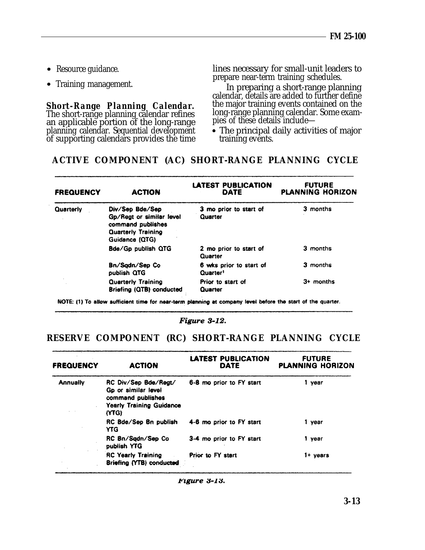- 
- 

an applicable portion of the long-range pies of these details include planning calendar. Sequential development **•** The principal daily activities of major of supporting calendars provides the time training events.

<span id="page-34-0"></span>• Resource guidance. lines necessary for small-unit leaders to prepare near-term training schedules.

Training management. In preparing a short-range planning calendar, details are added to further define *Short-Range Planning Calendar.* the major training events contained on the The short-range planning calendar refines long-range planning calendar. Some exam-

#### **ACTIVE COMPONENT (AC) SHORT-RANGE PLANNING CYCLE**

| <b>FREQUENCY</b> | <b>ACTION</b>                                                                                                   | LATEST PUBLICATION<br>DATE                      | <b>FUTURE</b><br><b>PLANNING HORIZON</b> |
|------------------|-----------------------------------------------------------------------------------------------------------------|-------------------------------------------------|------------------------------------------|
| Quarterly        | Div/Sep Bde/Sep<br>Gp/Regt or similar level<br>command publishes<br><b>Quarterly Training</b><br>Guidance (QTG) | 3 mo prior to start of<br>Quarter               | 3 months                                 |
|                  | Bde/Gp publish QTG                                                                                              | 2 mo prior to start of<br>Quarter               | 3 months                                 |
|                  | Bn/Sadn/Sep Co<br>publish QTG                                                                                   | 6 wks prior to start of<br>Quarter <sup>1</sup> | 3 months                                 |
|                  | <b>Quarterly Training</b><br>Briefing (QTB) conducted                                                           | Prior to start of<br>Quarter                    | $3+$ months                              |

NOTE: (1) To allow sufficient time for near-term planning at company level before the start of the quarter.

Figure 3-12.

### **RESERVE COMPONENT (RC) SHORT-RANGE PLANNING CYCLE**

| <b>FREQUENCY</b> | <b>ACTION</b>                                                                                                | <b>LATEST PUBLICATION</b><br>DATE | <b>FUTURE</b><br><b>PLANNING HORIZON</b> |
|------------------|--------------------------------------------------------------------------------------------------------------|-----------------------------------|------------------------------------------|
| <b>Annually</b>  | RC Div/Sep Bde/Regt/<br>Go or similar level<br>command publishes<br><b>Yearly Training Guidance</b><br>(YTG) | 6-8 mo prior to FY start          | 1 year                                   |
|                  | RC Bde/Sep Bn publish<br><b>YTG</b>                                                                          | 4-6 mo prior to FY start          | 1 year                                   |
|                  | RC Bn/Sqdn/Sep Co<br>publish YTG                                                                             | 3-4 mo prior to FY start          | 1 year                                   |
|                  | <b>RC Yearly Training</b><br>Briefing (YTB) conducted                                                        | Prior to FY start                 | $1+$ years                               |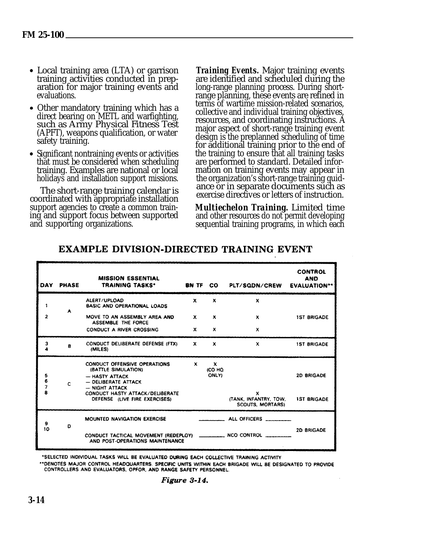- <span id="page-35-0"></span>• Local training area (LTA) or garrison training activities conducted in preparation for major training events and evaluations.
- Other mandatory training which has a direct bearing on METL and warfighting, such as Army Physical Fitness Test (APFT), weapons qualification, or water safety training.
- Significant nontraining events or activities that must be considered when scheduling training. Examples are national or local holidays and installation support missions.

The short-range training calendar is coordinated with appropriate installation support agencies to create a common training and support focus between supported and supporting organizations.

*Training Events.* Major training events are identified and scheduled during the long-range planning process. During shortrange planning, these events are refined in terms of wartime mission-related scenarios, collective and individual training objectives, resources, and coordinating instructions. A major aspect of short-range training event design is the preplanned scheduling of time for additional training prior to the end of the training to ensure that all training tasks are performed to standard. Detailed information on training events may appear in the organization's short-range training guidance or in separate documents such as exercise directives or letters of instruction.

*Multiechelon Training.* Limited time and other resources do not permit developing sequential training programs, in which each

| DAY                                     | <b>PHASE</b> | <b>MISSION ESSENTIAL</b><br>TRAINING TASKS*                                                                                                                                                   |              | BN TF CO                       | PLT/SQDN/CREW                                                        | <b>CONTROL</b><br><b>AND</b><br><b>EVALUATION**</b> |
|-----------------------------------------|--------------|-----------------------------------------------------------------------------------------------------------------------------------------------------------------------------------------------|--------------|--------------------------------|----------------------------------------------------------------------|-----------------------------------------------------|
| 1                                       |              | ALERT/UPLOAD<br><b>BASIC AND OPERATIONAL LOADS</b>                                                                                                                                            | $\mathbf{x}$ | $\mathbf x$                    | $\boldsymbol{x}$                                                     |                                                     |
| $\overline{2}$                          | A            | MOVE TO AN ASSEMBLY AREA AND<br><b>ASSEMBLE THE FORCE</b>                                                                                                                                     | x            | x                              | $\mathbf{x}$                                                         | <b>1ST BRIGADE</b>                                  |
|                                         |              | <b>CONDUCT A RIVER CROSSING</b>                                                                                                                                                               | $\mathbf{x}$ | x                              | $\mathbf x$                                                          |                                                     |
| 3                                       | в            | CONDUCT DELIBERATE DEFENSE (FTX)<br>(MILES)                                                                                                                                                   | $\mathbf{x}$ | $\mathbf x$                    | x                                                                    | <b>1ST BRIGADE</b>                                  |
| 5<br>6<br>$\overline{\phantom{a}}$<br>8 | C.           | <b>CONDUCT OFFENSIVE OPERATIONS</b><br>(BATTLE SIMULATION)<br>$-$ HASTY ATTACK<br>- DELIBERATE ATTACK<br>$-$ NIGHT ATTACK<br>CONDUCT HASTY ATTACK/DELIBERATE<br>DEFENSE (LIVE FIRE EXERCISES) | $\mathbf{x}$ | $\mathbf x$<br>(CO HQ<br>ONLY) | $\boldsymbol{x}$<br>(TANK, INFANTRY, TOW,<br><b>SCOUTS, MORTARS)</b> | <b>2D BRIGADE</b><br><b>1ST BRIGADE</b>             |
| 9                                       | Ð            | <b>MOUNTED NAVIGATION EXERCISE</b>                                                                                                                                                            |              |                                | ALL OFFICERS ________                                                |                                                     |
| 10                                      |              | CONDUCT TACTICAL MOVEMENT (REDEPLOY)<br>AND POST-OPERATIONS MAINTENANCE                                                                                                                       |              |                                | _________ NCO CONTROL ____                                           | <b>2D BRIGADE</b>                                   |

#### **EXAMPLE DIVISION-DIRECTED TRAINING EVENT**

\*SELECTED INDIVIDUAL TASKS WILL BE EVALUATED DURING EACH COLLECTIVE TRAINING ACTIVITY

\*\* DENOTES MAJOR CONTROL HEADQUARTERS. SPECIFIC UNITS WITHIN EACH BRIGADE WILL BE DESIGNATED TO PROVIDE CONTROLLERS AND EVALUATORS, OPFOR, AND RANGE SAFETY PERSONNEL.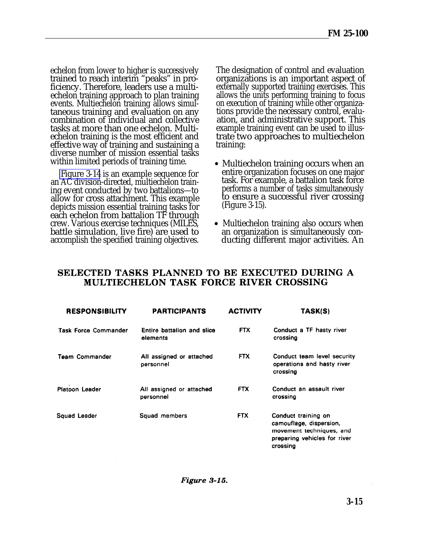echelon from lower to higher is successively trained to reach interim "peaks" in proficiency. Therefore, leaders use a multiechelon training approach to plan training events. Multiechelon training allows simultaneous training and evaluation on any combination of individual and collective tasks at more than one echelon. Multiechelon training is the most efficient and effective way of training and sustaining a diverse number of mission essential tasks within limited periods of training time.

[Figure 3-14](#page-35-0) is an example sequence for an AC division-directed, multiechelon training event conducted by two battalions—to allow for cross attachment. This example depicts mission essential training tasks for each echelon from battalion TF through crew. Various exercise techniques (MILES, battle simulation, live fire) are used to accomplish the specified training objectives.

The designation of control and evaluation organizations is an important aspect of externally supported training exercises. This allows the units performing training to focus on execution of training while other organizations provide the necessary control, evaluation, and administrative support. This example training event can be used to illustrate two approaches to multiechelon training:

- Multiechelon training occurs when an entire organization focuses on one major task. For example, a battalion task force performs a number of tasks simultaneously to ensure a successful river crossing (Figure 3-15).
- Multiechelon training also occurs when an organization is simultaneously conducting different major activities. An

#### SELECTED TASKS PLANNED TO BE EXECUTED DURING A MULTIECHELON TASK FORCE RIVER CROSSING

| <b>RESPONSIBILITY</b>       | <b>PARTICIPANTS</b>                    | <b>ACTIVITY</b> | TASK(S)                                                                                                                |
|-----------------------------|----------------------------------------|-----------------|------------------------------------------------------------------------------------------------------------------------|
| <b>Task Force Commander</b> | Entire battalion and slice<br>elements | <b>FTX</b>      | Conduct a TF hasty river<br>crossing                                                                                   |
| <b>Team Commander</b>       | All assigned or attached<br>personnel  | FTX             | Conduct team level security<br>operations and hasty river<br>crossing                                                  |
| <b>Platoon Leader</b>       | All assigned or attached<br>personnel  | <b>FTX</b>      | Conduct an assault river<br>crossing                                                                                   |
| Squad Leader                | Squad members                          | <b>FTX</b>      | Conduct training on<br>camouflage, dispersion,<br>movement techniques, and<br>preparing vehicles for river<br>crossing |

Figure 3-15.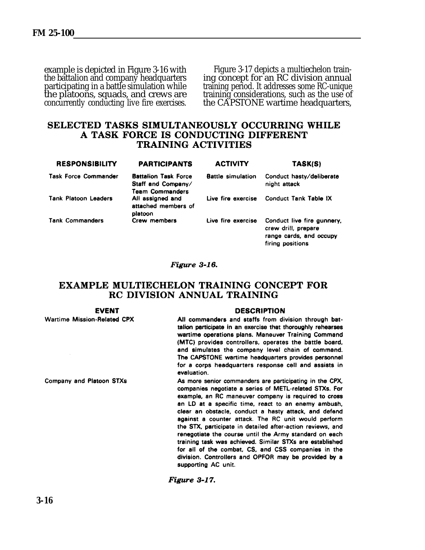the platoons, squads, and crews are concurrently conducting live fire exercises.

example is depicted in Figure 3-16 with Figure 3-17 depicts a multiechelon train-<br>the battalion and company headquarters ing concept for an RC division annual the battalion and company headquarters ing concept for an RC division annual<br>participating in a battle simulation while training period. It addresses some RC-unique training period. It addresses some RC-unique<br>training considerations, such as the use of the CAPSTONE wartime headquarters,

#### SELECTED TASKS SIMULTANEOUSLY OCCURRING WHILE A TASK FORCE IS CONDUCTING DIFFERENT **TRAINING ACTIVITIES**

| <b>RESPONSIBILITY</b>       | <b>PARTICIPANTS</b>                                                  | <b>ACTIVITY</b>          | TASK(S)                                                                                          |
|-----------------------------|----------------------------------------------------------------------|--------------------------|--------------------------------------------------------------------------------------------------|
| <b>Task Force Commander</b> | <b>Battalion Task Force</b><br>Staff and Company/<br>Team Commanders | <b>Battle simulation</b> | Conduct hasty/deliberate<br>night attack                                                         |
| <b>Tank Platoon Leaders</b> | All assigned and<br>attached members of<br>platoon                   |                          | Live fire exercise Conduct Tank Table IX                                                         |
| <b>Tank Commanders</b>      | Crew members                                                         | Live fire exercise       | Conduct live fire gunnery,<br>crew drill, prepare<br>range cards, and occupy<br>firing positions |

#### Figure 3-16.

#### **EXAMPLE MULTIECHELON TRAINING CONCEPT FOR RC DIVISION ANNUAL TRAINING**

#### **EVENT**

**Wartime Mission-Related CPX** 

Company and Platoon STXs

#### **DESCRIPTION**

All commanders and staffs from division through battalion participate in an exercise that thoroughly rehearses wartime operations plans. Maneuver Training Command (MTC) provides controllers, operates the battle board, and simulates the company level chain of command. The CAPSTONE wartime headquarters provides personnel for a corps headquarters response cell and assists in evaluation.

As more senior commanders are participating in the CPX, companies negotiate a series of METL-related STXs. For example, an RC maneuver company is required to cross an LD at a specific time, react to an enemy ambush, clear an obstacle, conduct a hasty attack, and defend against a counter attack. The RC unit would perform the STX, participate in detailed after-action reviews, and renegotiate the course until the Army standard on each training task was achieved. Similar STXs are established for all of the combat. CS, and CSS companies in the division. Controllers and OPFOR may be provided by a supporting AC unit.

Figure 3-17.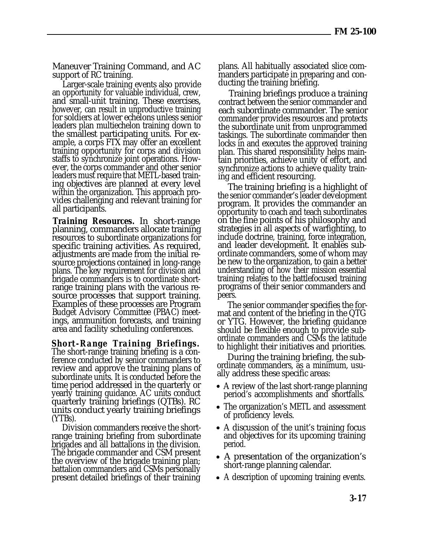Maneuver Training Command, and AC support of RC training.

Larger-scale training events also provide an opportunity for valuable individual, crew, and small-unit training. These exercises, however, can result in unproductive training for soldiers at lower echelons unless senior leaders plan multiechelon training down to the smallest participating units. For example, a corps FTX may offer an excellent training opportunity for corps and division staffs to synchronize joint operations. However, the corps commander and other senior leaders must require that METL-based training objectives are planned at every level within the organization. This approach provides challenging and relevant training for all participants.

*Training Resources.* In short-range planning, commanders allocate training resources to subordinate organizations for specific training activities. As required, adjustments are made from the initial resource projections contained in long-range plans. The key requirement for division and brigade commanders is to coordinate shortrange training plans with the various resource processes that support training. Examples of these processes are Program Budget Advisory Committee (PBAC) meetings, ammunition forecasts, and training area and facility scheduling conferences.

*Short-Range Training Briefings.* The short-range training briefing is a conference conducted by senior commanders to review and approve the training plans of subordinate units. It is conducted before the time period addressed in the quarterly or yearly training guidance. AC units conduct quarterly training briefings (QTBs). RC units conduct yearly training briefings (YTBs).

Division commanders receive the shortrange training briefing from subordinate brigades and all battalions in the division. The brigade commander and CSM present the overview of the brigade training plan; battalion commanders and CSMs personally present detailed briefings of their training plans. All habitually associated slice commanders participate in preparing and conducting the training briefing.

Training briefings produce a training contract between the senior commander and each subordinate commander. The senior commander provides resources and protects the subordinate unit from unprogrammed taskings. The subordinate commander then locks in and executes the approved training plan. This shared responsibility helps maintain priorities, achieve unity of effort, and synchronize actions to achieve quality training and efficient resourcing.

The training briefing is a highlight of the senior commander's leader development program. It provides the commander an opportunity to coach and teach subordinates on the fine points of his philosophy and strategies in all aspects of warfighting, to include doctrine, training, force integration, and leader development. It enables subordinate commanders, some of whom may be new to the organization, to gain a better understanding of how their mission essential training relates to the battlefocused training programs of their senior commanders and peers.

The senior commander specifies the format and content of the briefing in the QTG or YTG. However, the briefing guidance should be flexible enough to provide subordinate commanders and CSMs the latitude to highlight their initiatives and priorities.

During the training briefing, the subordinate commanders, as a minimum, usually address these specific areas:

- A review of the last short-range planning period's accomplishments and shortfalls.
- The organization's METL and assessment of proficiency levels.
- A discussion of the unit's training focus and objectives for its upcoming training period.
- A presentation of the organization's short-range planning calendar.
- A description of upcoming training events.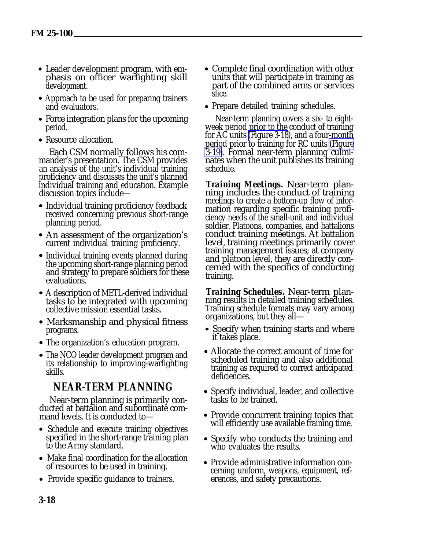- Leader development program, with emphasis on officer warfighting skill development.
- Approach to be used for preparing trainers and evaluators.
- Force integration plans for the upcoming period.
- Resource allocation.

Each CSM normally follows his commander's presentation. The CSM provides an analysis of the unit's individual training proficiency and discusses the unit's planned individual training and education. Example discussion topics include—

- Individual training proficiency feedback received concerning previous short-range planning period.
- An assessment of the organization's current individual training proficiency.
- Individual training events planned during the upcoming short-range planning period and strategy to prepare soldiers for these evaluations.
- A description of METL-derived individual tasks to be integrated with upcoming collective mission essential tasks.
- Marksmanship and physical fitness programs.
- The organization's education program.
- The NCO leader development program and its relationship to improving-warfighting skills.

# **NEAR-TERM PLANNING**

Near-term planning is primarily conducted at battalion and subordinate command levels. It is conducted to—

- Schedule and execute training objectives specified in the short-range training plan to the Army standard.
- Make final coordination for the allocation of resources to be used in training.
- Provide specific guidance to trainers.
- Complete final coordination with other units that will participate in training as part of the combined arms or services slice.
- Prepare detailed training schedules.

Near-term planning covers a six- to eightweek period prior to the conduct of training for AC units [\(Figure 3-18](#page-40-0)), and a four-month period prior to training for RC units [\(Figure](#page-40-0) [3-19\)](#page-40-0). Formal near-term planning culminates when the unit publishes its training schedule.

*Training Meetings.* Near-term planning includes the conduct of training meetings to create a bottom-up flow of information regarding specific training proficiency needs of the small-unit and individual soldier. Platoons, companies, and battalions conduct training meetings. At battalion level, training meetings primarily cover training management issues; at company and platoon level, they are directly concerned with the specifics of conducting training.

*Training Schedules.* Near-term planning results in detailed training schedules. Training schedule formats may vary among organizations, but they all—

- Specify when training starts and where it takes place.
- Allocate the correct amount of time for scheduled training and also additional training as required to correct anticipated deficiencies.
- Specify individual, leader, and collective tasks to be trained.
- Provide concurrent training topics that will efficiently use available training time.
- Specify who conducts the training and who evaluates the results.
- Provide administrative information concerning uniform, weapons, equipment, references, and safety precautions.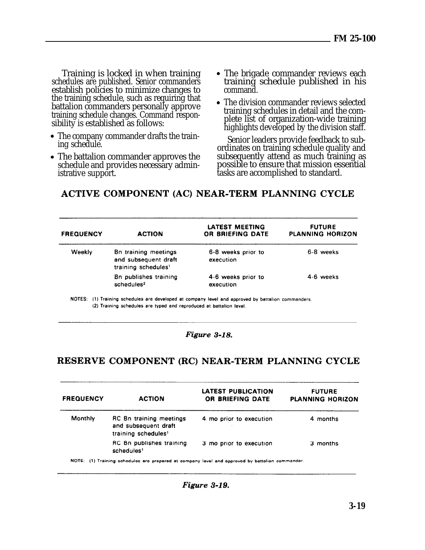<span id="page-40-0"></span>Training is locked in when training schedules are published. Senior commanders establish policies to minimize changes to the training schedule, such as requiring that battalion commanders personally approve training schedule changes. Command responsibility is established as follows:

- The company commander drafts the training schedule.
- The battalion commander approves the subsequently attend as much training as schedule and provides necessary admin-<br>possible to ensure that mission essential schedule and provides necessary administrative support. The subset of the standard is standard.
- The brigade commander reviews each training schedule published in his command.
- The division commander reviews selected training schedules in detail and the complete list of organization-wide training highlights developed by the division staff.

Senior leaders provide feedback to subordinates on training schedule quality and

# ACTIVE COMPONENT (AC) NEAR-TERM PLANNING CYCLE

| <b>FREQUENCY</b> | <b>ACTION</b>                                                                   | LATEST MEETING<br><b>OR BRIEFING DATE</b> | <b>FUTURE</b><br><b>PLANNING HORIZON</b> |
|------------------|---------------------------------------------------------------------------------|-------------------------------------------|------------------------------------------|
| Weekly           | Bn training meetings<br>and subsequent draft<br>training schedules <sup>1</sup> | 6-8 weeks prior to<br>execution           | 6-8 weeks                                |
|                  | Bn publishes training<br>$s$ chedules <sup>2</sup>                              | 4-6 weeks prior to<br>execution           | 4-6 weeks                                |

NOTES: (1) Training schedules are developed at company level and approved by battalion commanders. (2) Training schedules are typed and reproduced at battalion level.

#### Figure 3-18.

#### RESERVE COMPONENT (RC) NEAR-TERM PLANNING CYCLE

| <b>ACTION</b>                                                                             | <b>LATEST PUBLICATION</b><br>OR BRIEFING DATE | <b>FUTURE</b><br><b>PLANNING HORIZON</b> |
|-------------------------------------------------------------------------------------------|-----------------------------------------------|------------------------------------------|
| <b>RC</b> Bn training meetings<br>and subsequent draft<br>training schedules <sup>1</sup> | 4 mo prior to execution                       | 4 months                                 |
| RC Bn publishes training<br>schedules <sup>1</sup>                                        | 3 mo prior to execution                       | 3 months                                 |
|                                                                                           |                                               |                                          |

NOTE: (1) Training schedules are prepared at company level and approved by battalion commander.

Figure 3-19.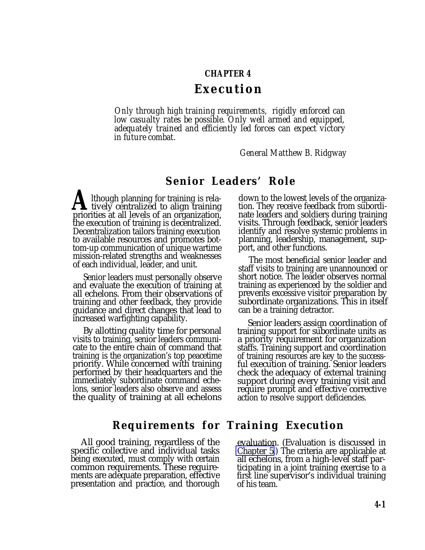#### **CHAPTER 4**

### **Execution**

*Only through high training requirements, rigidly enforced can low casualty rates be possible. Only well armed and equipped, adequately trained and efficiently led forces can expect victory in future combat.*

*General Matthew B. Ridgway*

## **Senior Leaders' Role**

**A**lthough planning for training is rela-<br>tively centralized to align training<br>priorities at all levels of an organization priorities at all levels of an organization, the execution of training is decentralized. Decentralization tailors training execution to available resources and promotes bottom-up communication of unique wartime mission-related strengths and weaknesses of each individual, leader, and unit.

Senior leaders must personally observe and evaluate the execution of training at all echelons. From their observations of training and other feedback, they provide guidance and direct changes that lead to increased warfighting capability.

By allotting quality time for personal visits to training, senior leaders communicate to the entire chain of command that training is the organization's top peacetime priority. While concerned with training performed by their headquarters and the immediately subordinate command echelons, senior leaders also observe and assess the quality of training at all echelons

All good training, regardless of the evaluation. (Evaluation is discussed in specific collective and individual tasks Chapter 5.) The criteria are applicable at being executed, must comply with certain<br>common requirements. These requirements are adequate preparation, effective first line su<br>presentation and practice, and thorough of his team. presentation and practice, and thorough.

down to the lowest levels of the organization. They receive feedback from subordinate leaders and soldiers during training visits. Through feedback, senior leaders identify and resolve systemic problems in planning, leadership, management, support, and other functions.

The most beneficial senior leader and staff visits to training are unannounced or short notice. The leader observes normal training as experienced by the soldier and prevents excessive visitor preparation by subordinate organizations. This in itself can be a training detractor.

Senior leaders assign coordination of training support for subordinate units as a priority requirement for organization staffs. Training support and coordination of training resources are key to the successful execution of training. Senior leaders check the adequacy of external training support during every training visit and require prompt and effective corrective action to resolve support deficiencies.

# **Requirements for Training Execution**

[Chapter 5.](#page-0-0)) The criteria are applicable at all echelons, from a high-level staff participating in a joint training exercise to a<br>first line supervisor's individual training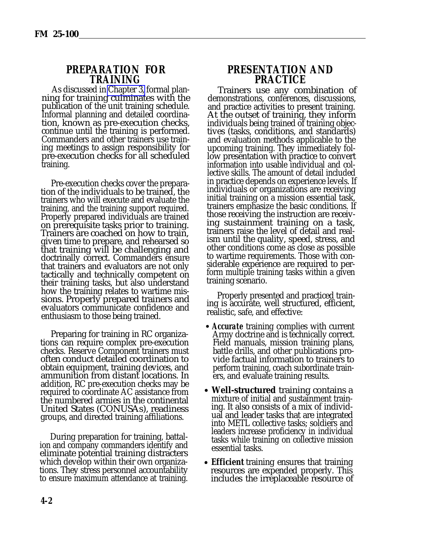#### **PREPARATION FOR TRAINING**

As discussed in [Chapter 3,](#page-0-0) formal planning for training culminates with the publication of the unit training schedule. Informal planning and detailed coordination, known as pre-execution checks, continue until the training is performed. Commanders and other trainers use training meetings to assign responsibility for pre-execution checks for all scheduled training.

Pre-execution checks cover the preparation of the individuals to be trained, the trainers who will execute and evaluate the training, and the training support required. Properly prepared individuals are trained on prerequisite tasks prior to training. Trainers are coached on how to train, given time to prepare, and rehearsed so that training will be challenging and doctrinally correct. Commanders ensure that trainers and evaluators are not only tactically and technically competent on their training tasks, but also understand how the training relates to wartime missions. Properly prepared trainers and evaluators communicate confidence and enthusiasm to those being trained.

Preparing for training in RC organizations can require complex pre-execution checks. Reserve Component trainers must often conduct detailed coordination to obtain equipment, training devices, and ammunition from distant locations. In addition, RC pre-execution checks may be required to coordinate AC assistance from the numbered armies in the continental United States (CONUSAs), readiness groups, and directed training affiliations.

During preparation for training, battalion and company commanders identify and eliminate potential training distracters which develop within their own organizations. They stress personnel accountability to ensure maximum attendance at training.

#### **PRESENTATION AND PRACTICE**

Trainers use any combination of demonstrations, conferences, discussions, and practice activities to present training. At the outset of training, they inform individuals being trained of training objectives (tasks, conditions, and standards) and evaluation methods applicable to the upcoming training. They immediately follow presentation with practice to convert information into usable individual and collective skills. The amount of detail included in practice depends on experience levels. If individuals or organizations are receiving initial training on a mission essential task, trainers emphasize the basic conditions. If those receiving the instruction are receiving sustainment training on a task, trainers raise the level of detail and realism until the quality, speed, stress, and other conditions come as close as possible to wartime requirements. Those with considerable experience are required to perform multiple training tasks within a given training scenario.

Properly presented and practiced training is accurate, well structured, efficient, realistic, safe, and effective:

- *Accurate* training complies with current Army doctrine and is technically correct. Field manuals, mission training plans, battle drills, and other publications provide factual information to trainers to perform training, coach subordinate trainers, and evaluate training results.
- **Well-structured** training contains a mixture of initial and sustainment training. It also consists of a mix of individual and leader tasks that are integrated into METL collective tasks; soldiers and leaders increase proficiency in individual tasks while training on collective mission essential tasks.
- **Efficient** training ensures that training resources are expended properly. This includes the irreplaceable resource of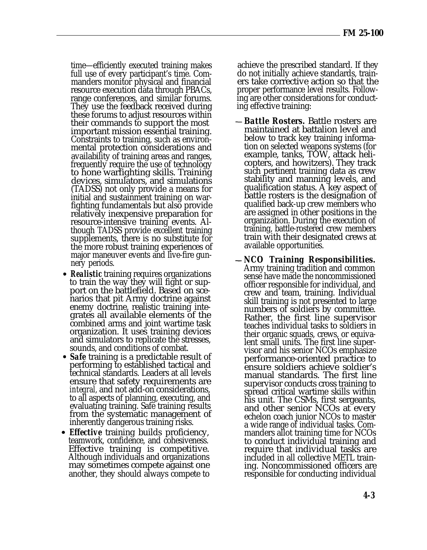time—efficiently executed training makes achieve the prescribed standard. If they full use of every participant's time. Com- do not initially achieve standards, trainmanders monitor physical and financial ers take corrective action so that the resource execution data through PBACs, proper performance level results. Followresource execution data through PBACs, proper performance level results. Follow-<br>range conferences, and similar forums. ing are other considerations for conductrange conferences, and similar forums. ing are other consider<br>They use the feedback received during ing effective training: They use the feedback received during these forums to adjust resources within their commands to support the most important mission essential training. Constraints to training, such as environmental protection considerations and availability of training areas and ranges, frequently require the use of technology to hone warfighting skills. Training devices, simulators, and simulations (TADSS) not only provide a means for initial and sustainment training on warfighting fundamentals but also provide relatively inexpensive preparation for resource-intensive training events. Although TADSS provide excellent training supplements, there is no substitute for the more robust training experiences of major maneuver events and live-fire gunnery periods.

- *Realistic* training requires organizations to train the way they will fight or support on the battlefield. Based on scenarios that pit Army doctrine against enemy doctrine, realistic training integrates all available elements of the combined arms and joint wartime task organization. It uses training devices and simulators to replicate the stresses, sounds, and conditions of combat.
- *Safe* training is a predictable result of performing to established tactical and technical standards. Leaders at all levels ensure that safety requirements are *integral,* and not add-on considerations, to all aspects of planning, executing, and evaluating training. Safe training results from the systematic management of inherently dangerous training risks.
- *Effective* training builds proficiency, teamwork, confidence, and cohesiveness. Effective training is competitive. Although individuals and organizations may sometimes compete against one another, they should always compete to

do not initially achieve standards, train-

- *Battle Rosters.* Battle rosters are maintained at battalion level and below to track key training information on selected weapons systems (for example, tanks, TOW, attack helicopters, and howitzers). They track such pertinent training data as crew stability and manning levels, and qualification status. A key aspect of battle rosters is the designation of qualified back-up crew members who are assigned in other positions in the organization. During the execution of training, battle-rostered crew members train with their designated crews at available opportunities.
- *NCO Training Responsibilities.* Army training tradition and common sense have made the noncommissioned officer responsible for individual, and crew and team, training. Individual skill training is not presented to large numbers of soldiers by committee. Rather, the first line supervisor teaches individual tasks to soldiers in their organic squads, crews, or equivalent small units. The first line supervisor and his senior NCOs emphasize performance-oriented practice to ensure soldiers achieve soldier's manual standards. The first line supervisor conducts cross training to spread critical wartime skills within his unit. The CSMs, first sergeants, and other senior NCOs at every echelon coach junior NCOs to master a wide range of individual tasks. Commanders allot training time for NCOs to conduct individual training and require that individual tasks are included in all collective METL training. Noncommissioned officers are responsible for conducting individual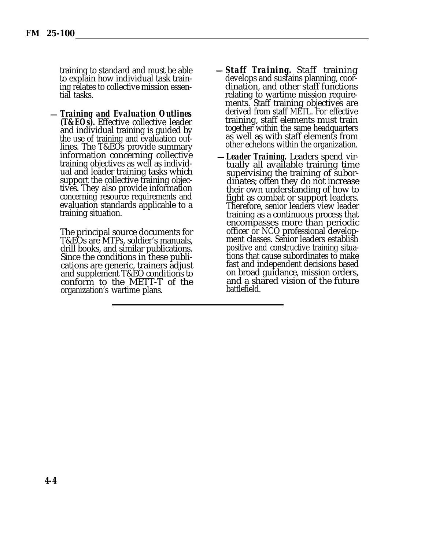training to standard and must be able to explain how individual task training relates to collective mission essential tasks.

*Training and Evaluation Outlines (T&EOs).* Effective collective leader and individual training is guided by the use of training and evaluation outlines. The T&EOs provide summary information concerning collective training objectives as well as individual and leader training tasks which support the collective training objectives. They also provide information concerning resource requirements and evaluation standards applicable to a training situation.

The principal source documents for T&EOs are MTPs, soldier's manuals, drill books, and similar publications. Since the conditions in these publications are generic, trainers adjust and supplement T&EO conditions to conform to the METT-T of the organization's wartime plans.

- *Staff Training.* Staff training develops and sustains planning, coordination, and other staff functions relating to wartime mission requirements. Staff training objectives are derived from staff METL. For effective training, staff elements must train together within the same headquarters as well as with staff elements from other echelons within the organization.
- *Leader Training.* Leaders spend virtually all available training time supervising the training of subordinates; often they do not increase their own understanding of how to fight as combat or support leaders. Therefore, senior leaders view leader training as a continuous process that encompasses more than periodic officer or NCO professional development classes. Senior leaders establish positive and constructive training situations that cause subordinates to make fast and independent decisions based on broad guidance, mission orders, and a shared vision of the future battlefield.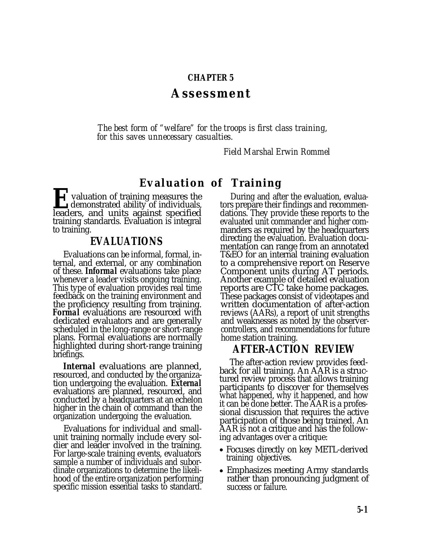#### **CHAPTER 5**

### **Assessment**

*The best form of "welfare" for the troops is first class training, for this saves unnecessary casualties.*

*Field Marshal Erwin Rommel*

# **Evaluation of Training**

**Exercise 1 valuation of training measures the demonstrated ability of individuals, leaders. and units against specified** demonstrated ability of individuals, leaders, and units against specified training standards. Evaluation is integral to training.

#### **EVALUATIONS**

Evaluations can be informal, formal, internal, and external, or any combination of these. *Informal* evaluations take place whenever a leader visits ongoing training. This type of evaluation provides real time feedback on the training environment and the proficiency resulting from training. *Formal* evaluations are resourced with dedicated evaluators and are generally scheduled in the long-range or short-range plans. Formal evaluations are normally highlighted during short-range training briefings.

*Internal* evaluations are planned, resourced, and conducted by the organization undergoing the evaluation. *External* evaluations are planned, resourced, and conducted by a headquarters at an echelon higher in the chain of command than the organization undergoing the evaluation.

Evaluations for individual and smallunit training normally include every soldier and leader involved in the training. For large-scale training events, evaluators sample a number of individuals and subordinate organizations to determine the likelihood of the entire organization performing specific mission essential tasks to standard.

During and after the evaluation, evaluators prepare their findings and recommendations. They provide these reports to the evaluated unit commander and higher commanders as required by the headquarters directing the evaluation. Evaluation documentation can range from an annotated T&EO for an internal training evaluation to a comprehensive report on Reserve Component units during AT periods. Another example of detailed evaluation reports are CTC take home packages. These packages consist of videotapes and written documentation of after-action reviews (AARs), a report of unit strengths and weaknesses as noted by the observercontrollers, and recommendations for future home station training.

### **AFTER-ACTION REVIEW**

The after-action review provides feedback for all training. An AAR is a structured review process that allows training participants to discover for themselves what happened, why it happened, and how it can be done better. The AAR is a professional discussion that requires the active participation of those being trained. An AAR is not a critique and has the following advantages over a critique:

- Focuses directly on key METL-derived training objectives.
- Emphasizes meeting Army standards rather than pronouncing judgment of success or failure.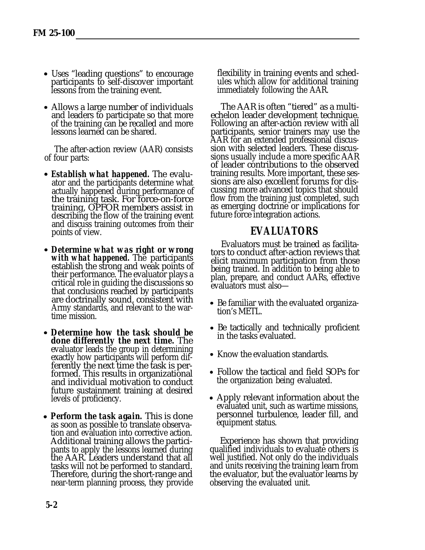- Uses "leading questions" to encourage participants to self-discover important lessons from the training event.
- Allows a large number of individuals and leaders to participate so that more of the training can be recalled and more lessons learned can be shared.

The after-action review (AAR) consists of four parts:

- *Establish what happened.* The evaluator and the participants determine what actually happened during performance of the training task. For force-on-force training, OPFOR members assist in describing the flow of the training event and discuss training outcomes from their points of view.
- *Determine what was right or wrong with what happened.* The participants establish the strong and weak points of their performance. The evaluator plays a critical role in guiding the discussions so that conclusions reached by participants are doctrinally sound, consistent with Army standards, and relevant to the wartime mission.
- *Determine how the task should be done differently the next time.* The evaluator leads the group in determining exactly how participants will perform differently the next time the task is performed. This results in organizational and individual motivation to conduct future sustainment training at desired levels of proficiency.
- **Perform the task again.** This is done as soon as possible to translate observation and evaluation into corrective action. Additional training allows the participants to apply the lessons learned during the AAR. Leaders understand that all tasks will not be performed to standard. Therefore, during the short-range and near-term planning process, they provide

flexibility in training events and schedules which allow for additional training immediately following the AAR.

The AAR is often "tiered" as a multiechelon leader development technique. Following an after-action review with all participants, senior trainers may use the AAR for an extended professional discussion with selected leaders. These discussions usually include a more specific AAR of leader contributions to the observed training results. More important, these sessions are also excellent forums for discussing more advanced topics that should flow from the training just completed, such as emerging doctrine or implications for future force integration actions.

# **EVALUATORS**

Evaluators must be trained as facilitators to conduct after-action reviews that elicit maximum participation from those being trained. In addition to being able to plan, prepare, and conduct AARs, effective evaluators must also—

- Be familiar with the evaluated organization's METL.
- Be tactically and technically proficient in the tasks evaluated.
- Know the evaluation standards.
- Follow the tactical and field SOPs for the organization being evaluated.
- Apply relevant information about the evaluated unit, such as wartime missions, personnel turbulence, leader fill, and equipment status.

Experience has shown that providing qualified individuals to evaluate others is well justified. Not only do the individuals and units receiving the training learn from the evaluator, but the evaluator learns by observing the evaluated unit.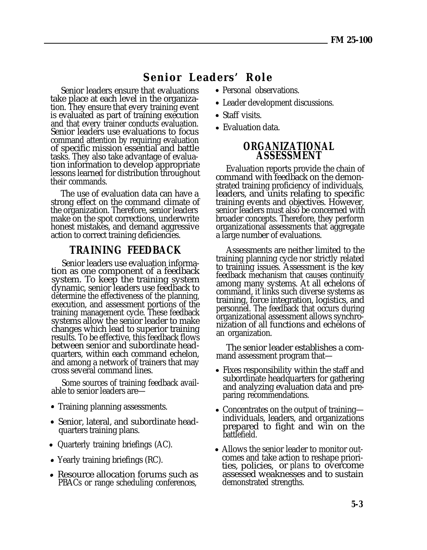# **Senior Leaders' Role**

Senior leaders ensure that evaluations take place at each level in the organization. They ensure that every training event is evaluated as part of training execution and that every trainer conducts evaluation. Senior leaders use evaluations to focus command attention by requiring evaluation of specific mission essential and battle tasks. They also take advantage of evaluation information to develop appropriate lessons learned for distribution throughout their commands.

The use of evaluation data can have a strong effect on the command climate of the organization. Therefore, senior leaders make on the spot corrections, underwrite honest mistakes, and demand aggressive action to correct training deficiencies.

#### **TRAINING FEEDBACK**

Senior leaders use evaluation information as one component of a feedback system. To keep the training system dynamic, senior leaders use feedback to determine the effectiveness of the planning, execution, and assessment portions of the training management cycle. These feedback systems allow the senior leader to make changes which lead to superior training results. To be effective, this feedback flows between senior and subordinate headquarters, within each command echelon, and among a network of trainers that may cross several command lines.

Some sources of training feedback available to senior leaders are—

- Training planning assessments.
- Senior, lateral, and subordinate headquarters training plans.
- Quarterly training briefings (AC).
- Yearly training briefings (RC).
- Resource allocation forums such as PBACs or range scheduling conferences,
- Personal observations.
- Leader development discussions.
- Staff visits.
- Evaluation data.

#### **ORGANIZATIONAL ASSESSMENT**

Evaluation reports provide the chain of command with feedback on the demonstrated training proficiency of individuals, leaders, and units relating to specific training events and objectives. However, senior leaders must also be concerned with broader concepts. Therefore, they perform organizational assessments that aggregate a large number of evaluations.

Assessments are neither limited to the training planning cycle nor strictly related to training issues. Assessment is the key feedback mechanism that causes continuity among many systems. At all echelons of command, it links such diverse systems as training, force integration, logistics, and personnel. The feedback that occurs during organizational assessment allows synchronization of all functions and echelons of an organization.

The senior leader establishes a command assessment program that—

- Fixes responsibility within the staff and subordinate headquarters for gathering and analyzing evaluation data and preparing recommendations.
- Concentrates on the output of training individuals, leaders, and organizations prepared to fight and win on the battlefield.
- Allows the senior leader to monitor outcomes and take action to reshape priorities, policies, or *plans* to overcome assessed weaknesses and to sustain demonstrated strengths.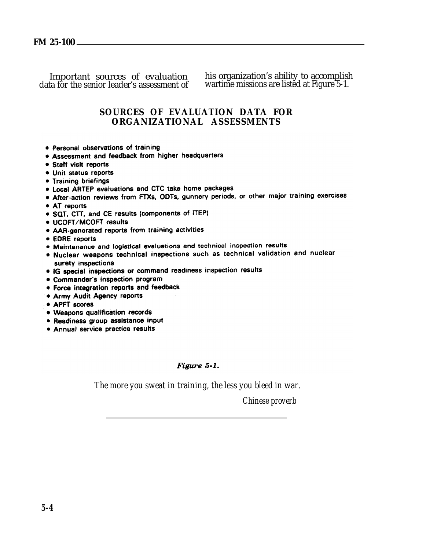Important sources of evaluation his organization's ability to accomplish data for the senior leader's assessment of wartime missions are listed at Figure 5-1. wartime missions are listed at Figure 5-1.

#### **SOURCES OF EVALUATION DATA FOR ORGANIZATIONAL ASSESSMENTS**

- · Personal observations of training
- . Assessment and feedback from higher headquarters
- · Staff visit reports
- Unit status reports
- Training briefings
- . Local ARTEP evaluations and CTC take home packages
- After-action reviews from FTXs, ODTs, gunnery periods, or other major training exercises
- AT reports
- SQT. CTT. and CE results (components of ITEP)
- · UCOFT/MCOFT results
- AAR-generated reports from training activities
- EDRE reports
- . Maintenance and logistical evaluations and technical inspection results
- Nuclear weapons technical inspections such as technical validation and nuclear surety inspections
- · IG special inspections or command readiness inspection results
- Commander's inspection program
- · Force integration reports and feedback
- Army Audit Agency reports
- APFT scores
- · Weapons qualification records
- Readiness group assistance input
- Annual service practice results

#### Figure 5-1.

*The more you sweat in training, the less you bleed in war.*

*Chinese proverb*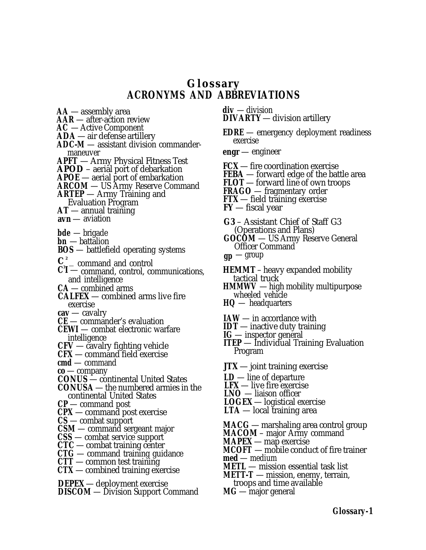# **Glossary ACRONYMS AND ABBREVIATIONS**

- **AA**  assembly area
- **AAR**  after-action review
- **AC** Active Component
- **ADA**  air defense artillery
- **ADC-M**  assistant division commandermaneuver
- **APFT**  Army Physical Fitness Test
- **APOD**  aerial port of debarkation
- **APOE**  aerial port of embarkation
- **ARCOM**  US Army Reserve Command
- **ARTEP**  Army Training and
- Evaluation Program
- **AT**  annual training
- **avn**  aviation
- **bde** brigade
- **bn** battalion
- **BOS**  battlefield operating systems
- $\mathbf{C}^2$  command and control
- **C 3 I**  command, control, communications, and intelligence
- **CA**  combined arms
- **CALFEX**  combined arms live fire exercise
- **cav**  cavalry
- **CE**  commander's evaluation
- **CEWI**  combat electronic warfare intelligence
- **CFV**  cavalry fighting vehicle
- **CFX**  command field exercise
- **cmd**  command
- **co**  company
- **CONUS**  continental United States
- **CONUSA**  the numbered armies in the continental United States
- **CP**  command post
- **CPX**  command post exercise
- **CS**  combat support
- **CSM**  command sergeant major
- **CSS**  combat service support
- **CTC**  combat training center
- **CTG**  command training guidance
- **CTT**  common test training
- **CTX**  combined training exercise
- **DEPEX**  deployment exercise
- **DISCOM**  Division Support Command
- **div** division **DIVARTY** — division artillery
- **EDRE**  emergency deployment readiness exercise
- **engr**  engineer
- **FCX**  fire coordination exercise
- **FEBA**  forward edge of the battle area
- **FLOT**  forward line of own troops
- **FRAGO**  fragmentary order
- **FTX**  field training exercise
- **FY**  fiscal year
- **G3**  Assistant Chief of Staff G3 (Operations and Plans)
- **GOCOM**  US Army Reserve General Officer Command
- **gp** group
- **HEMMT**  heavy expanded mobility tactical truck
- **HMMWV**  high mobility multipurpose wheeled vehicle
- **HQ** headquarters
- **IAW**  in accordance with
- **IDT** inactive duty training
- **IG**  inspector general
- **ITEP**  Individual Training Evaluation Program
- **JTX**  joint training exercise
- **LD**  line of departure
- LFX live fire exercise
- **LNO** liaison officer
- **LOGEX**  logistical exercise
- **LTA**  local training area
- **MACG** marshaling area control group
- **MACOM**  major Army command
- **MAPEX**  map exercise
- **MCOFT**  mobile conduct of fire trainer
- **med**  medium
- **METL**  mission essential task list
- **METT-T**  mission, enemy, terrain, troops and time available
- **MG**  major general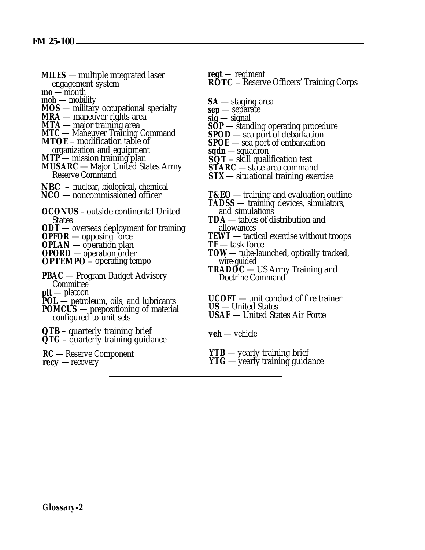- **MILES**  multiple integrated laser engagement system
- **mo**  month
- **mob**  mobility
- **MOS** military occupational specialty
- **MRA** maneuver rights area
- **MTA**  major training area
- **MTC**  Maneuver Training Command **MTOE** – modification table of
- organization and equipment
- **MTP**  mission training plan
- **MUSARC**  Major United States Army Reserve Command
- **NBC**  nuclear, biological, chemical
- **NCO**  noncommissioned officer
- **OCONUS**  outside continental United States
- **ODT**  overseas deployment for training
- **OPFOR**  opposing force
- **OPLAN**  operation plan
- **OPORD**  operation order

**OPTEMPO** – operating tempo

- **PBAC**  Program Budget Advisory Committee **plt** — platoon
- POL petroleum, oils, and lubricants
- **POMCUS**  prepositioning of material
- configured to unit sets
- **QTB**  quarterly training brief
- **QTG**  quarterly training guidance
- **RC**  Reserve Component
- **recy** recovery

**regt —** regiment **ROTC** – Reserve Officers' Training Corps

- **SA**  staging area
- **sep**  separate
- **sig**  signal
- **SOP**  standing operating procedure
- **SPOD** sea port of debarkation
- **SPOE**  sea port of embarkation
- **sqdn**  squadron
- **SQT**  skill qualification test
- **STARC**  state area command
- **STX**  situational training exercise

**T&EO** — training and evaluation outline

- **TADSS**  training devices, simulators, and simulations
- **TDA**  tables of distribution and allowances
- **TEWT**  tactical exercise without troops **TF** — task force
- **TOW**  tube-launched, optically tracked, wire-guided
- **TRADOC**  US Army Training and Doctrine Command

**UCOFT** — unit conduct of fire trainer **US** — United States **USAF** — United States Air Force

**veh** — vehicle

**YTB** — yearly training brief

**YTG** — yearly training guidance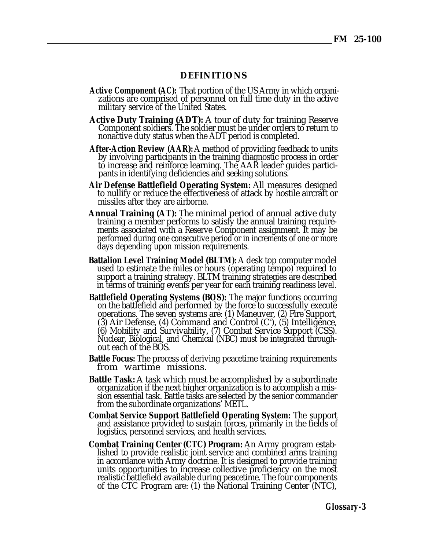#### **DEFINITIONS**

- **Active Component (AC):** That portion of the US Army in which organizations are comprised of personnel on full time duty in the active military service of the United States.
- **Active Duty Training (ADT):** A tour of duty for training Reserve Component soldiers. The soldier must be under orders to return to nonactive duty status when the ADT period is completed.
- **After-Action Review (AAR):** A method of providing feedback to units by involving participants in the training diagnostic process in order to increase and reinforce learning. The AAR leader guides participants in identifying deficiencies and seeking solutions.
- **Air Defense Battlefield Operating System:** All measures designed to nullify or reduce the effectiveness of attack by hostile aircraft or missiles after they are airborne.
- **Annual Training (AT):** The minimal period of annual active duty training a member performs to satisfy the annual training requirements associated with a Reserve Component assignment. It may be performed during one consecutive period or in increments of one or more days depending upon mission requirements.
- **Battalion Level Training Model (BLTM):** A desk top computer model used to estimate the miles or hours (operating tempo) required to support a training strategy. BLTM training strategies are described in terms of training events per year for each training readiness level.
- **Battlefield Operating Systems (BOS):** The major functions occurring on the battlefield and performed by the force to successfully execute operations. The seven systems are: (1) Maneuver, (2) Fire Support,  $(3)$  Air Defense,  $(4)$  Command and Control  $(C<sup>2</sup>)$ ,  $(5)$  Intelligence, (6) Mobility and Survivability, (7) Combat Service Support (CSS). Nuclear, Biological, and Chemical (NBC) must be integrated throughout each of the BOS.
- **Battle Focus:** The process of deriving peacetime training requirements from wartime missions.
- **Battle Task:** A task which must be accomplished by a subordinate organization if the next higher organization is to accomplish a mission essential task. Battle tasks are selected by the senior commander from the subordinate organizations' METL.
- **Combat Service Support Battlefield Operating System:** The support and assistance provided to sustain forces, primarily in the fields of logistics, personnel services, and health services.
- **Combat Training Center (CTC) Program:** An Army program established to provide realistic joint service and combined arms training in accordance with Army doctrine. It is designed to provide training units opportunities to increase collective proficiency on the most realistic battlefield available during peacetime. The four components of the CTC Program are: (1) the National Training Center (NTC),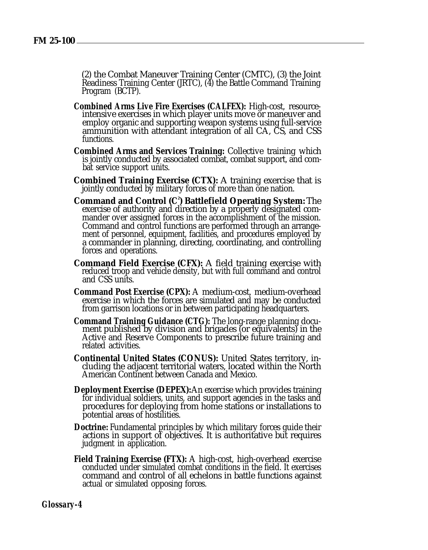(2) the Combat Maneuver Training Center (CMTC), (3) the Joint Readiness Training Center (JRTC), (4) the Battle Command Training Program (BCTP).

- **Combined Arms Live Fire Exercises (CALFEX):** High-cost, resourceintensive exercises in which player units move or maneuver and employ organic and supporting weapon systems using full-service ammunition with attendant integration of all CA, CS, and CSS functions.
- **Combined Arms and Services Training:** Collective training which is jointly conducted by associated combat, combat support, and combat service support units.
- **Combined Training Exercise (CTX):** A training exercise that is jointly conducted by military forces of more than one nation.
- **Command and Control (C<sup>2</sup> ) Battlefield Operating System:** The exercise of authority and direction by a properly designated commander over assigned forces in the accomplishment of the mission. Command and control functions are performed through an arrangement of personnel, equipment, facilities, and procedures employed by a commander in planning, directing, coordinating, and controlling forces and operations.
- **Command Field Exercise (CFX):** A field training exercise with reduced troop and vehicle density, but with full command and control and CSS units.
- **Command Post Exercise (CPX):** A medium-cost, medium-overhead exercise in which the forces are simulated and may be conducted from garrison locations or in between participating headquarters.
- **Command Training Guidance (CTG):** The long-range planning document published by division and brigades (or equivalents) in the Active and Reserve Components to prescribe future training and related activities.
- **Continental United States (CONUS):** United States territory, including the adjacent territorial waters, located within the North American Continent between Canada and Mexico.
- **Deployment Exercise (DEPEX):** An exercise which provides training for individual soldiers, units, and support agencies in the tasks and procedures for deploying from home stations or installations to potential areas of hostilities.
- **Doctrine:** Fundamental principles by which military forces guide their actions in support of objectives. It is authoritative but requires judgment in application.
- **Field Training Exercise (FTX):** A high-cost, high-overhead exercise conducted under simulated combat conditions in the field. It exercises command and control of all echelons in battle functions against actual or simulated opposing forces.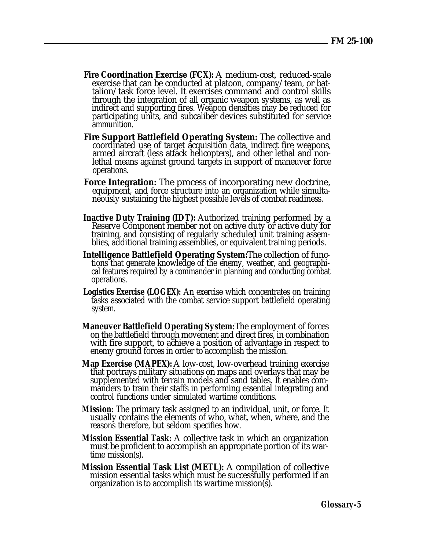- **Fire Coordination Exercise (FCX):** A medium-cost, reduced-scale exercise that can be conducted at platoon, company/team, or battalion/task force level. It exercises command and control skills through the integration of all organic weapon systems, as well as indirect and supporting fires. Weapon densities may be reduced for participating units, and subcaliber devices substituted for service ammunition.
- **Fire Support Battlefield Operating System:** The collective and coordinated use of target acquisition data, indirect fire weapons, armed aircraft (less attack helicopters), and other lethal and nonlethal means against ground targets in support of maneuver force operations.
- **Force Integration:** The process of incorporating new doctrine, equipment, and force structure into an organization while simultaneously sustaining the highest possible levels of combat readiness.
- **Inactive Duty Training (IDT):** Authorized training performed by a Reserve Component member not on active duty or active duty for training, and consisting of regularly scheduled unit training assemblies, additional training assemblies, or equivalent training periods.
- **Intelligence Battlefield Operating System:** The collection of functions that generate knowledge of the enemy, weather, and geographical features required by a commander in planning and conducting combat operations.
- **Logistics Exercise (LOGEX):** An exercise which concentrates on training tasks associated with the combat service support battlefield operating system.
- **Maneuver Battlefield Operating System:** The employment of forces on the battlefield through movement and direct fires, in combination with fire support, to achieve a position of advantage in respect to enemy ground forces in order to accomplish the mission.
- **Map Exercise (MAPEX):** A low-cost, low-overhead training exercise that portrays military situations on maps and overlays that may be supplemented with terrain models and sand tables. It enables commanders to train their staffs in performing essential integrating and control functions under simulated wartime conditions.
- **Mission:** The primary task assigned to an individual, unit, or force. It usually contains the elements of who, what, when, where, and the reasons therefore, but seldom specifies how.
- **Mission Essential Task:** A collective task in which an organization must be proficient to accomplish an appropriate portion of its wartime mission(s).
- **Mission Essential Task List (METL):** A compilation of collective mission essential tasks which must be successfully performed if an organization is to accomplish its wartime mission(s).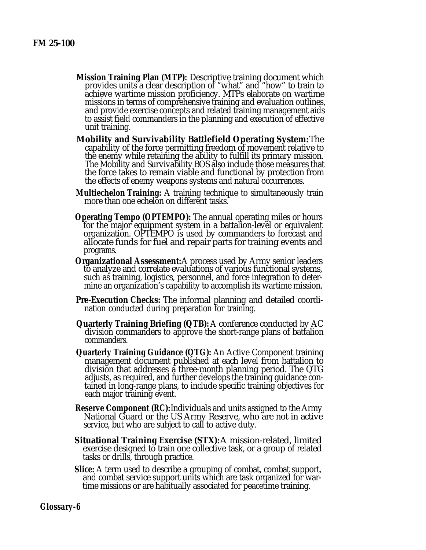- **Mission Training Plan (MTP):** Descriptive training document which provides units a clear description of "what" and "how" to train to achieve wartime mission proficiency. MTPs elaborate on wartime missions in terms of comprehensive training and evaluation outlines, and provide exercise concepts and related training management aids to assist field commanders in the planning and execution of effective unit training.
- **Mobility and Survivability Battlefield Operating System:** The capability of the force permitting freedom of movement relative to the enemy while retaining the ability to fulfill its primary mission. The Mobility and Survivability BOS also include those measures that the force takes to remain viable and functional by protection from the effects of enemy weapons systems and natural occurrences.
- **Multiechelon Training:** A training technique to simultaneously train more than one echelon on different tasks.
- **Operating Tempo (OPTEMPO):** The annual operating miles or hours for the major equipment system in a battalion-level or equivalent organization. OPTEMPO is used by commanders to forecast and allocate funds for fuel and repair parts for training events and programs.
- **Organizational Assessment:** A process used by Army senior leaders to analyze and correlate evaluations of various functional systems, such as training, logistics, personnel, and force integration to determine an organization's capability to accomplish its wartime mission.
- **Pre-Execution Checks:** The informal planning and detailed coordination conducted during preparation for training.
- **Quarterly Training Briefing (QTB):** A conference conducted by AC division commanders to approve the short-range plans of battalion commanders.
- **Quarterly Training Guidance (QTG):** An Active Component training management document published at each level from battalion to division that addresses a three-month planning period. The QTG adjusts, as required, and further develops the training guidance contained in long-range plans, to include specific training objectives for each major training event.
- **Reserve Component (RC):** Individuals and units assigned to the Army National Guard or the US Army Reserve, who are not in active service, but who are subject to call to active duty.
- **Situational Training Exercise (STX):** A mission-related, limited exercise designed to train one collective task, or a group of related tasks or drills, through practice.
- **Slice:** A term used to describe a grouping of combat, combat support, and combat service support units which are task organized for wartime missions or are habitually associated for peacetime training.

*Glossary-6*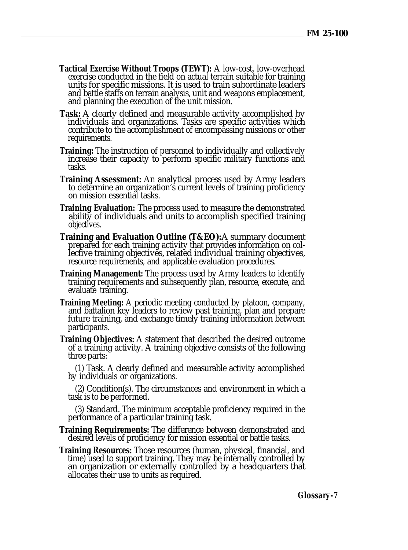- **Tactical Exercise Without Troops (TEWT):** A low-cost, low-overhead exercise conducted in the field on actual terrain suitable for training units for specific missions. It is used to train subordinate leaders and battle staffs on terrain analysis, unit and weapons emplacement, and planning the execution of the unit mission.
- **Task:** A clearly defined and measurable activity accomplished by individuals and organizations. Tasks are specific activities which contribute to the accomplishment of encompassing missions or other requirements.
- **Training:** The instruction of personnel to individually and collectively increase their capacity to perform specific military functions and tasks.
- **Training Assessment:** An analytical process used by Army leaders to determine an organization's current levels of training proficiency on mission essential tasks.
- **Training Evaluation:** The process used to measure the demonstrated ability of individuals and units to accomplish specified training objectives.
- **Training and Evaluation Outline (T&EO):** A summary document prepared for each training activity that provides information on collective training objectives, related individual training objectives, resource requirements, and applicable evaluation procedures.
- **Training Management:** The process used by Army leaders to identify training requirements and subsequently plan, resource, execute, and evaluate training.
- **Training Meeting:** A periodic meeting conducted by platoon, company, and battalion key leaders to review past training, plan and prepare future training, and exchange timely training information between participants.
- **Training Objectives:** A statement that described the desired outcome of a training activity. A training objective consists of the following three parts:

(1) Task. A clearly defined and measurable activity accomplished by individuals or organizations.

(2) Condition(s). The circumstances and environment in which a task is to be performed.

(3) Standard. The minimum acceptable proficiency required in the performance of a particular training task.

- **Training Requirements:** The difference between demonstrated and desired levels of proficiency for mission essential or battle tasks.
- **Training Resources:** Those resources (human, physical, financial, and time) used to support training. They may be internally controlled by an organization or externally controlled by a headquarters that allocates their use to units as required.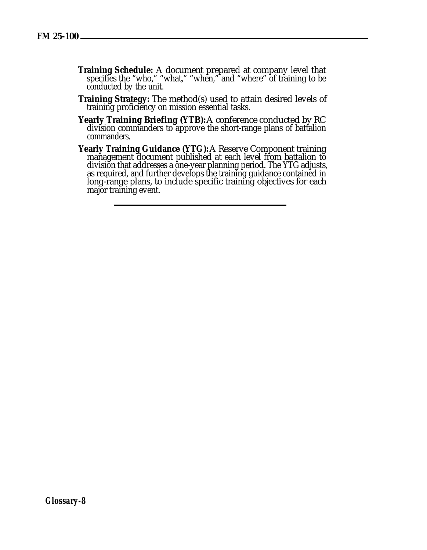- **Training Schedule:** A document prepared at company level that specifies the "who," "what," "when," and "where" of training to be conducted by the unit.
- **Training Strategy:** The method(s) used to attain desired levels of training proficiency on mission essential tasks.
- **Yearly Training Briefing (YTB):** A conference conducted by RC division commanders to approve the short-range plans of battalion commanders.
- **Yearly Training Guidance (YTG):** A Reserve Component training management document published at each level from battalion to division that addresses a one-year planning period. The YTG adjusts, as required, and further develops the training guidance contained in long-range plans, to include specific training objectives for each major training event.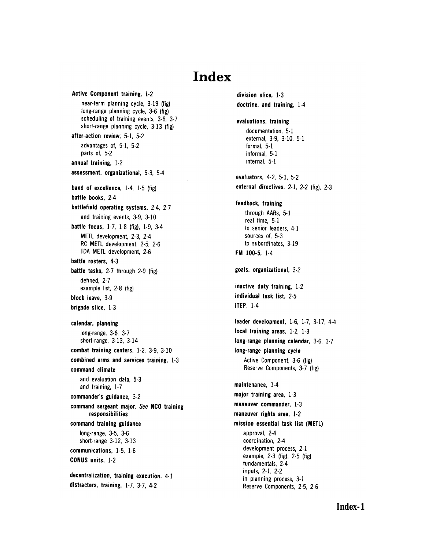# Index

Active Component training, 1-2 near-term planning cycle, 3-19 (fig) long-range planning cycle, 3-6 (fig) scheduling of training events, 3-6, 3-7 short-range planning cycle, 3-13 (fig) after-action review, 5-1, 5-2 advantages of, 5-1, 5-2 parts of, 5-2 annual training, 1-2 assessment, organizational, 5-3, 5-4 band of excellence,  $1-4$ ,  $1-5$  (fig) battle books, 2-4 battlefield operating systems, 2-4, 2-7 and training events, 3-9, 3-10 battle focus, 1-7, 1-8 (fig), 1-9, 3-4 METL development, 2-3, 2-4 RC METL development, 2-5, 2-6 TDA METL development, 2-6 battle rosters, 4-3 battle tasks, 2-7 through 2-9 (fig) defined. 2-7 example list, 2-8 (fig) block leave, 3-9 brigade slice, 1-3 calendar, planning long-range, 3-6, 3-7 short-range, 3-13, 3-14 combat training centers, 1-2, 3-9, 3-10 combined arms and services training, 1-3 command climate and evaluation data. 5-3 and training, 1-7 commander's guidance, 3-2 command sergeant major. See NCO training responsibilities command training guidance long-range, 3-5, 3-6 short-range 3-12, 3-13 communications, 1-5, 1-6 CONUS units, 1-2 decentralization, training execution, 4-1 distracters, training, 1-7, 3-7, 4-2

division slice, 1-3 doctrine, and training, 1-4 evaluations, training documentation, 5-1 external, 3-9, 3-10, 5-1 formal, 5-1 informal, 5-1 internal, 5-1 evaluators, 4-2, 5-1, 5-2 external directives, 2-1, 2-2 (fig), 2-3 feedback, training through AARs, 5-1 real time, 5-1 to senior leaders, 4-1 sources of, 5-3 to subordinates, 3-19 FM 100-5, 1-4 goals, organizational, 3-2 inactive duty training, 1-2 individual task list, 2-5 **ITEP, 1-4** leader development, 1-6, 1-7, 3-17, 4-4 local training areas, 1-2, 1-3 long-range planning calendar, 3-6, 3-7 long-range planning cycle Active Component, 3-6 (fig) Reserve Components, 3-7 (fig) maintenance, 1-4 major training area, 1-3 maneuver commander, 1-3 maneuver rights area, 1-2 mission essential task list (METL) approval. 2-4 coordination, 2-4 development process, 2-1 example,  $2-3$  (fig),  $2-5$  (fig) fundamentals, 2-4 inputs, 2-1, 2-2 in planning process, 3-1 Reserve Components, 2-5, 2-6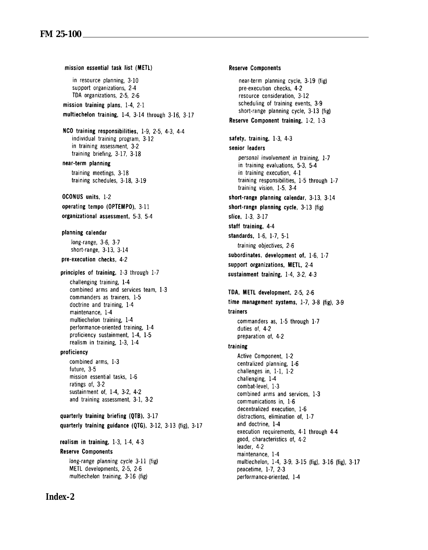mission essential task list (METL) in resource planning, 3-10 support organizations. 2-4 TDA organizations, 2-5, 2-6 mission training plans, 1-4, 2-1 multiechelon training, 1-4, 3-14 through 3-16, 3-17 NCO training responsibilities, 1-9, 2-5, 4-3, 4-4 individual training program, 3-12 in training assessment, 3-2 training briefing, 3-17, 3-18 near-term planning training meetings, 3-18 training schedules, 3-18, 3-19 OCONUS units, 1-2 operating tempo (OPTEMPO). 3-11 organizational assessment. 5-3. 5-4 planning calendar long-range, 3-6, 3-7 short-range, 3-13, 3-14 pre-execution checks, 4-2 principles of training, 1-3 through 1-7 challenging training, 1-4 combined arms and services team. 1-3 commanders as trainers. 1-5 doctrine and training, 1-4 maintenance, 1-4 multiechelon training, 1-4 performance-oriented training, 1-4 proficiency sustainment, 1-4, 1-5 realism in training, 1-3, 1-4 proficiency combined arms, 1-3 future, 3-5 mission essential tasks, 1-6 ratings of, 3-2 sustainment of, 1-4, 3-2, 4-2 and training assessment, 3-1, 3-2 quarterly training briefing (OTB), 3-17 quarterly training guidance (QTG), 3-12, 3-13 (fig), 3-17 realism in training,  $1-3$ ,  $1-4$ ,  $4-3$ **Reserve Components** long-range planning cycle 3-11 (fig) METL developments, 2-5, 2-6 multiechelon training, 3-16 (fig)

**Reserve Components** near-term planning cycle, 3-19 (fig) pre-execution checks. 4-2 resource consideration. 3-12 scheduling of training events, 3-9 short-range planning cycle, 3-13 (fig) Reserve Component training, 1-2, 1-3 safety, training, 1-3, 4-3 senior leaders personal involvement in training, 1-7 in training evaluations, 5-3, 5-4 in training execution, 4-1 training responsibilities, 1-5 through 1-7 training vision, 1-5, 3-4 short-range planning calendar, 3-13, 3-14 short-range planning cycle. 3-13 (fig) slice, 1-3, 3-17 staff training, 4-4 standards, 1-6, 1-7, 5-1 training objectives, 2-6 subordinates, development of, 1-6, 1-7 support organizations, METL, 2-4 sustainment training, 1-4, 3-2, 4-3 TDA, METL development, 2-5, 2-6 time management systems, 1-7, 3-8 (fig), 3-9 trainers commanders as, 1-5 through 1-7 duties of, 4-2 preparation of, 4-2 training Active Component, 1-2 centralized planning, 1-6 challenges in,  $1-1$ ,  $1-2$ challenging, 1-4 combat-level, 1-3 combined arms and services, 1-3 communications in, 1-6 decentralized execution. 1-6 distractions, elimination of, 1-7 and doctrine, 1-4 execution requirements, 4-1 through 4-4 good, characteristics of, 4-2 leader, 4-2 maintenance, 1-4

multiechelon, 1-4, 3-9, 3-15 (fig), 3-16 (fig), 3-17 peacetime, 1-7, 2-3 performance-oriented, 1-4

#### *Index-2*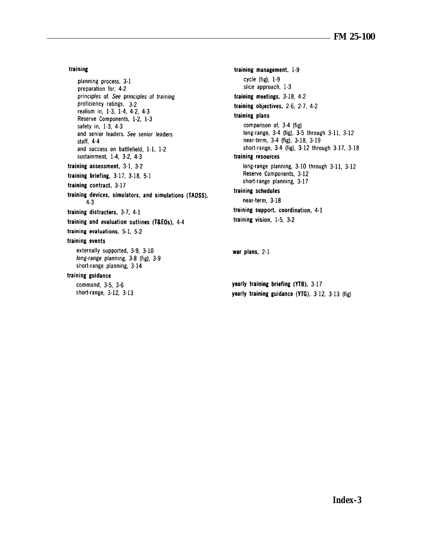#### training

planning process, 3-1 preparation for, 4-2 principles of. See principles of training proficiency ratings, 3-2 realism in, 1-3, 1-4, 4-2, 4-3 Reserve Components, 1-2, 1-3 safety in, 1-3, 4-3 and senior leaders. See senior leaders staff, 4-4 and success on battlefield, 1-1, 1-2 sustainment, 1-4, 3-2, 4-3 training assessment, 3-1, 3-2 training briefing,  $3-17$ ,  $3-18$ ,  $5-1$ training contract, 3-17 training devices, simulators, and simulations (TADSS).  $4.3$ training distracters, 3-7, 4-1 training and evaluation outlines (T&EOs), 4-4 training evaluations, 5-1, 5-2 training events externally supported, 3-9, 3-10 long-range planning, 3-8 (fig), 3-9 short-range planning, 3-14 training guidance command, 3-5, 3-6

short-range, 3-12, 3-13

training management, 1-9 cycle (fig), 1-9 slice approach, 1-3 training meetings, 3-18, 4-2 training objectives, 2-6, 2-7, 4-2 training plans comparison of, 3-4 (fig) long-range, 3-4 (fig), 3-5 through 3-11, 3-12 near-term, 3-4 (fig), 3-18, 3-19 short-range, 3-4 (fig), 3-12 through 3-17, 3-18 training resources long-range planning, 3-10 through 3-11, 3-12 Reserve Components, 3-12 short-range planning, 3-17 training schedules near-term, 3-18 training support, coordination, 4-1 training vision, 1-5, 3-2

war plans, 2-1

yearly training briefing (YTB), 3-17 yearly training guidance (YTG), 3-12, 3-13 (fig)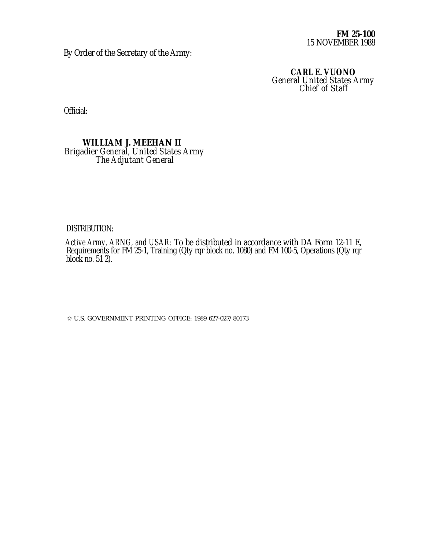**FM 25-100** 15 NOVEMBER 1988

By Order of the Secretary of the Army:

**CARL E. VUONO** *General United States Army Chief of Staff*

Official:

#### **WILLIAM J. MEEHAN II** *Brigadier General, United States Army The Adjutant General*

#### DISTRIBUTION:

*Active Army, ARNG, and USAR:* To be distributed in accordance with DA Form 12-11 E, Requirements for FM 25-1, Training (Qty rqr block no. 1080) and FM 100-5, Operations (Qty rqr block no. 51 2).

✩ U.S. GOVERNMENT PRINTING OFFICE: 1989 627-027/80173